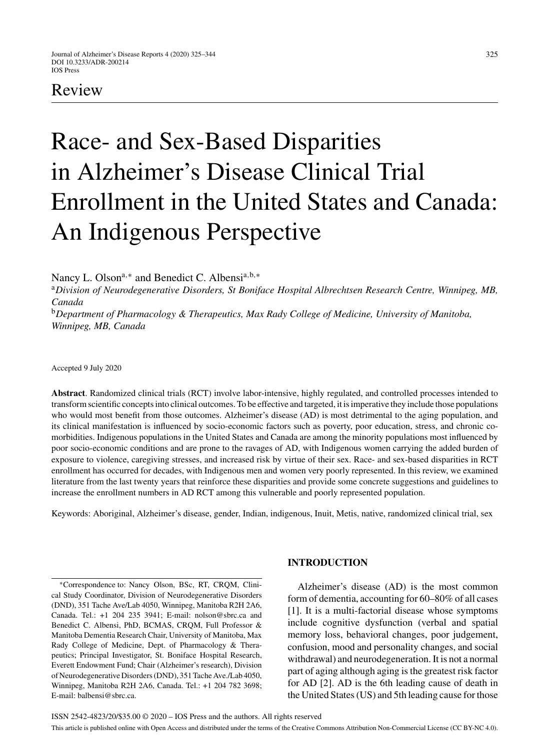# Review

# Race- and Sex-Based Disparities in Alzheimer's Disease Clinical Trial Enrollment in the United States and Canada: An Indigenous Perspective

Nancy L. Olson<sup>a,∗</sup> and Benedict C. Albensi<sup>a,b,∗</sup>

<sup>a</sup>*Division of Neurodegenerative Disorders, St Boniface Hospital Albrechtsen Research Centre, Winnipeg, MB, Canada*

<sup>b</sup>*Department of Pharmacology & Therapeutics, Max Rady College of Medicine, University of Manitoba, Winnipeg, MB, Canada*

Accepted 9 July 2020

**Abstract**. Randomized clinical trials (RCT) involve labor-intensive, highly regulated, and controlled processes intended to transform scientific concepts into clinical outcomes. To be effective and targeted, it is imperative they include those populations who would most benefit from those outcomes. Alzheimer's disease (AD) is most detrimental to the aging population, and its clinical manifestation is influenced by socio-economic factors such as poverty, poor education, stress, and chronic comorbidities. Indigenous populations in the United States and Canada are among the minority populations most influenced by poor socio-economic conditions and are prone to the ravages of AD, with Indigenous women carrying the added burden of exposure to violence, caregiving stresses, and increased risk by virtue of their sex. Race- and sex-based disparities in RCT enrollment has occurred for decades, with Indigenous men and women very poorly represented. In this review, we examined literature from the last twenty years that reinforce these disparities and provide some concrete suggestions and guidelines to increase the enrollment numbers in AD RCT among this vulnerable and poorly represented population.

Keywords: Aboriginal, Alzheimer's disease, gender, Indian, indigenous, Inuit, Metis, native, randomized clinical trial, sex

∗Correspondence to: Nancy Olson, BSc, RT, CRQM, Clinical Study Coordinator, Division of Neurodegenerative Disorders (DND), 351 Tache Ave/Lab 4050, Winnipeg, Manitoba R2H 2A6, Canada. Tel.: +1 204 235 3941; E-mail: nolson@sbrc.ca and Benedict C. Albensi, PhD, BCMAS, CRQM, Full Professor & Manitoba Dementia Research Chair, University of Manitoba, Max Rady College of Medicine, Dept. of Pharmacology & Therapeutics; Principal Investigator, St. Boniface Hospital Research, Everett Endowment Fund; Chair (Alzheimer's research), Division of Neurodegenerative Disorders (DND), 351 Tache Ave./Lab 4050, Winnipeg, Manitoba R2H 2A6, Canada. Tel.: +1 204 782 3698; E-mail: [balbensi@sbrc.ca](mailto:balbensi@sbrc.ca).

# **INTRODUCTION**

Alzheimer's disease (AD) is the most common form of dementia, accounting for 60–80% of all cases [1]. It is a multi-factorial disease whose symptoms include cognitive dysfunction (verbal and spatial memory loss, behavioral changes, poor judgement, confusion, mood and personality changes, and social withdrawal) and neurodegeneration. It is not a normal part of aging although aging is the greatest risk factor for AD [2]. AD is the 6th leading cause of death in the United States (US) and 5th leading cause for those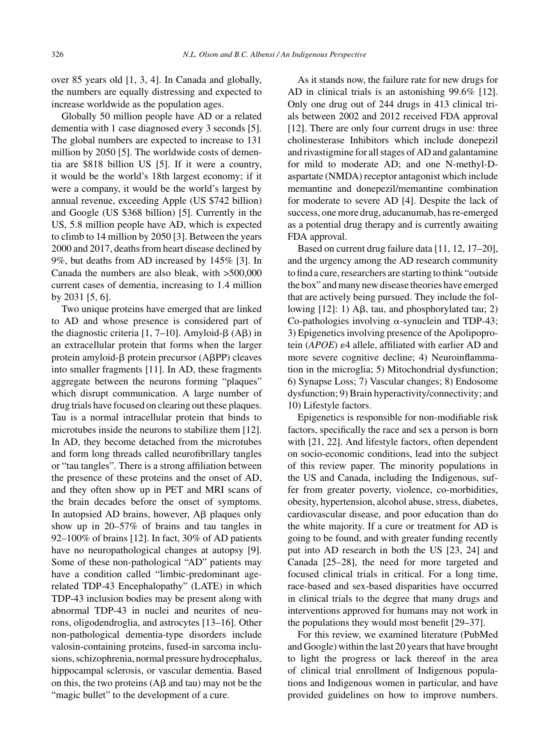over 85 years old [1, 3, 4]. In Canada and globally, the numbers are equally distressing and expected to increase worldwide as the population ages.

Globally 50 million people have AD or a related dementia with 1 case diagnosed every 3 seconds [5]. The global numbers are expected to increase to 131 million by 2050 [5]. The worldwide costs of dementia are \$818 billion US [5]. If it were a country, it would be the world's 18th largest economy; if it were a company, it would be the world's largest by annual revenue, exceeding Apple (US \$742 billion) and Google (US \$368 billion) [5]. Currently in the US, 5.8 million people have AD, which is expected to climb to 14 million by 2050 [3]. Between the years 2000 and 2017, deaths from heart disease declined by 9%, but deaths from AD increased by 145% [3]. In Canada the numbers are also bleak, with >500,000 current cases of dementia, increasing to 1.4 million by 2031 [5, 6].

Two unique proteins have emerged that are linked to AD and whose presence is considered part of the diagnostic criteria [1, 7–10]. Amyloid- $\beta$  (A $\beta$ ) in an extracellular protein that forms when the larger protein amyloid- $\beta$  protein precursor (A $\beta$ PP) cleaves into smaller fragments [11]. In AD, these fragments aggregate between the neurons forming "plaques" which disrupt communication. A large number of drug trials have focused on clearing out these plaques. Tau is a normal intracellular protein that binds to microtubes inside the neurons to stabilize them [12]. In AD, they become detached from the microtubes and form long threads called neurofibrillary tangles or "tau tangles". There is a strong affiliation between the presence of these proteins and the onset of AD, and they often show up in PET and MRI scans of the brain decades before the onset of symptoms. In autopsied AD brains, however,  $A\beta$  plaques only show up in 20–57% of brains and tau tangles in 92–100% of brains [12]. In fact, 30% of AD patients have no neuropathological changes at autopsy [9]. Some of these non-pathological "AD" patients may have a condition called "limbic-predominant agerelated TDP-43 Encephalopathy" (LATE) in which TDP-43 inclusion bodies may be present along with abnormal TDP-43 in nuclei and neurites of neurons, oligodendroglia, and astrocytes [13–16]. Other non-pathological dementia-type disorders include valosin-containing proteins, fused-in sarcoma inclusions, schizophrenia, normal pressure hydrocephalus, hippocampal sclerosis, or vascular dementia. Based on this, the two proteins  $(A\beta$  and tau) may not be the "magic bullet" to the development of a cure.

As it stands now, the failure rate for new drugs for AD in clinical trials is an astonishing 99.6% [12]. Only one drug out of 244 drugs in 413 clinical trials between 2002 and 2012 received FDA approval [12]. There are only four current drugs in use: three cholinesterase Inhibitors which include donepezil and rivastigmine for all stages of AD and galantamine for mild to moderate AD; and one N-methyl-Daspartate (NMDA) receptor antagonist which include memantine and donepezil/memantine combination for moderate to severe AD [4]. Despite the lack of success, one more drug, aducanumab, has re-emerged as a potential drug therapy and is currently awaiting FDA approval.

Based on current drug failure data [11, 12, 17–20], and the urgency among the AD research community to find a cure, researchers are starting to think "outside the box" and many new disease theories have emerged that are actively being pursued. They include the following  $[12]$ : 1) A $\beta$ , tau, and phosphorylated tau; 2) Co-pathologies involving  $\alpha$ -synuclein and TDP-43; 3) Epigenetics involving presence of the Apolipoprotein (*APOE*)  $\varepsilon$ 4 allele, affiliated with earlier AD and more severe cognitive decline; 4) Neuroinflammation in the microglia; 5) Mitochondrial dysfunction; 6) Synapse Loss; 7) Vascular changes; 8) Endosome dysfunction; 9) Brain hyperactivity/connectivity; and 10) Lifestyle factors.

Epigenetics is responsible for non-modifiable risk factors, specifically the race and sex a person is born with [21, 22]. And lifestyle factors, often dependent on socio-economic conditions, lead into the subject of this review paper. The minority populations in the US and Canada, including the Indigenous, suffer from greater poverty, violence, co-morbidities, obesity, hypertension, alcohol abuse, stress, diabetes, cardiovascular disease, and poor education than do the white majority. If a cure or treatment for AD is going to be found, and with greater funding recently put into AD research in both the US [23, 24] and Canada [25–28], the need for more targeted and focused clinical trials in critical. For a long time, race-based and sex-based disparities have occurred in clinical trials to the degree that many drugs and interventions approved for humans may not work in the populations they would most benefit [29–37].

For this review, we examined literature (PubMed and Google) within the last 20 years that have brought to light the progress or lack thereof in the area of clinical trial enrollment of Indigenous populations and Indigenous women in particular, and have provided guidelines on how to improve numbers.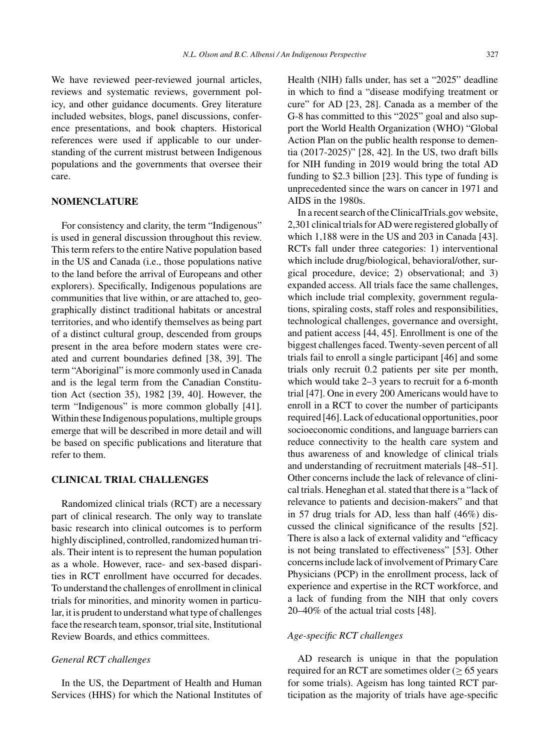We have reviewed peer-reviewed journal articles, reviews and systematic reviews, government policy, and other guidance documents. Grey literature included websites, blogs, panel discussions, conference presentations, and book chapters. Historical references were used if applicable to our understanding of the current mistrust between Indigenous populations and the governments that oversee their care.

# **NOMENCLATURE**

For consistency and clarity, the term "Indigenous" is used in general discussion throughout this review. This term refers to the entire Native population based in the US and Canada (i.e., those populations native to the land before the arrival of Europeans and other explorers). Specifically, Indigenous populations are communities that live within, or are attached to, geographically distinct traditional habitats or ancestral territories, and who identify themselves as being part of a distinct cultural group, descended from groups present in the area before modern states were created and current boundaries defined [38, 39]. The term "Aboriginal" is more commonly used in Canada and is the legal term from the Canadian Constitution Act (section 35), 1982 [39, 40]. However, the term "Indigenous" is more common globally [41]. Within these Indigenous populations, multiple groups emerge that will be described in more detail and will be based on specific publications and literature that refer to them.

# **CLINICAL TRIAL CHALLENGES**

Randomized clinical trials (RCT) are a necessary part of clinical research. The only way to translate basic research into clinical outcomes is to perform highly disciplined, controlled, randomized human trials. Their intent is to represent the human population as a whole. However, race- and sex-based disparities in RCT enrollment have occurred for decades. To understand the challenges of enrollment in clinical trials for minorities, and minority women in particular, it is prudent to understand what type of challenges face the research team, sponsor, trial site, Institutional Review Boards, and ethics committees.

# *General RCT challenges*

In the US, the Department of Health and Human Services (HHS) for which the National Institutes of Health (NIH) falls under, has set a "2025" deadline in which to find a "disease modifying treatment or cure" for AD [23, 28]. Canada as a member of the G-8 has committed to this "2025" goal and also support the World Health Organization (WHO) "Global Action Plan on the public health response to dementia (2017-2025)" [28, 42]. In the US, two draft bills for NIH funding in 2019 would bring the total AD funding to \$2.3 billion [23]. This type of funding is unprecedented since the wars on cancer in 1971 and AIDS in the 1980s.

In a recent search of the ClinicalTrials.gov website, 2,301 clinical trials for AD were registered globally of which 1,188 were in the US and 203 in Canada [43]. RCTs fall under three categories: 1) interventional which include drug/biological, behavioral/other, surgical procedure, device; 2) observational; and 3) expanded access. All trials face the same challenges, which include trial complexity, government regulations, spiraling costs, staff roles and responsibilities, technological challenges, governance and oversight, and patient access [44, 45]. Enrollment is one of the biggest challenges faced. Twenty-seven percent of all trials fail to enroll a single participant [46] and some trials only recruit 0.2 patients per site per month, which would take 2–3 years to recruit for a 6-month trial [47]. One in every 200 Americans would have to enroll in a RCT to cover the number of participants required [46]. Lack of educational opportunities, poor socioeconomic conditions, and language barriers can reduce connectivity to the health care system and thus awareness of and knowledge of clinical trials and understanding of recruitment materials [48–51]. Other concerns include the lack of relevance of clinical trials. Heneghan et al. stated that there is a "lack of relevance to patients and decision-makers" and that in 57 drug trials for AD, less than half (46%) discussed the clinical significance of the results [52]. There is also a lack of external validity and "efficacy is not being translated to effectiveness" [53]. Other concerns include lack of involvement of Primary Care Physicians (PCP) in the enrollment process, lack of experience and expertise in the RCT workforce, and a lack of funding from the NIH that only covers 20–40% of the actual trial costs [48].

# *Age-specific RCT challenges*

AD research is unique in that the population required for an RCT are sometimes older ( $\geq 65$  years for some trials). Ageism has long tainted RCT participation as the majority of trials have age-specific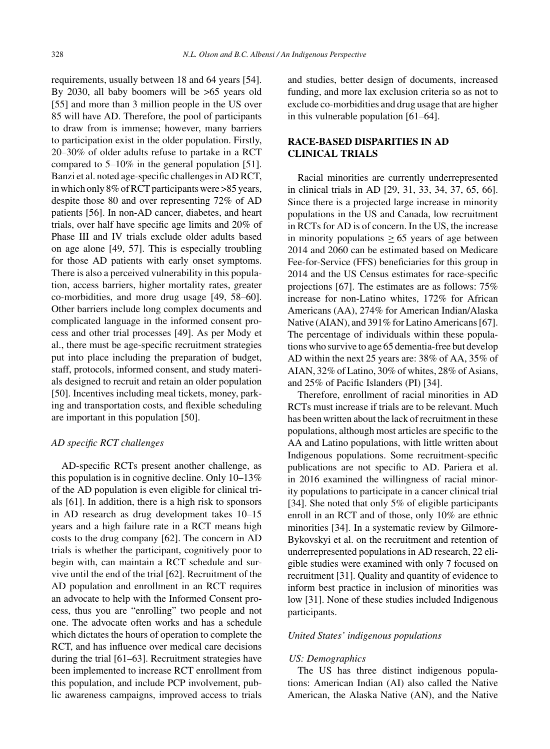requirements, usually between 18 and 64 years [54]. By 2030, all baby boomers will be >65 years old [55] and more than 3 million people in the US over 85 will have AD. Therefore, the pool of participants to draw from is immense; however, many barriers to participation exist in the older population. Firstly, 20–30% of older adults refuse to partake in a RCT compared to 5–10% in the general population [51]. Banzi et al. noted age-specific challenges in AD RCT, in which only 8% of RCT participants were >85 years, despite those 80 and over representing 72% of AD patients [56]. In non-AD cancer, diabetes, and heart trials, over half have specific age limits and 20% of Phase III and IV trials exclude older adults based on age alone [49, 57]. This is especially troubling for those AD patients with early onset symptoms. There is also a perceived vulnerability in this population, access barriers, higher mortality rates, greater co-morbidities, and more drug usage [49, 58–60]. Other barriers include long complex documents and complicated language in the informed consent process and other trial processes [49]. As per Mody et al., there must be age-specific recruitment strategies put into place including the preparation of budget, staff, protocols, informed consent, and study materials designed to recruit and retain an older population [50]. Incentives including meal tickets, money, parking and transportation costs, and flexible scheduling are important in this population [50].

# *AD specific RCT challenges*

AD-specific RCTs present another challenge, as this population is in cognitive decline. Only 10–13% of the AD population is even eligible for clinical trials [61]. In addition, there is a high risk to sponsors in AD research as drug development takes 10–15 years and a high failure rate in a RCT means high costs to the drug company [62]. The concern in AD trials is whether the participant, cognitively poor to begin with, can maintain a RCT schedule and survive until the end of the trial [62]. Recruitment of the AD population and enrollment in an RCT requires an advocate to help with the Informed Consent process, thus you are "enrolling" two people and not one. The advocate often works and has a schedule which dictates the hours of operation to complete the RCT, and has influence over medical care decisions during the trial [61–63]. Recruitment strategies have been implemented to increase RCT enrollment from this population, and include PCP involvement, public awareness campaigns, improved access to trials and studies, better design of documents, increased funding, and more lax exclusion criteria so as not to exclude co-morbidities and drug usage that are higher in this vulnerable population [61–64].

# **RACE-BASED DISPARITIES IN AD CLINICAL TRIALS**

Racial minorities are currently underrepresented in clinical trials in AD [29, 31, 33, 34, 37, 65, 66]. Since there is a projected large increase in minority populations in the US and Canada, low recruitment in RCTs for AD is of concern. In the US, the increase in minority populations  $> 65$  years of age between 2014 and 2060 can be estimated based on Medicare Fee-for-Service (FFS) beneficiaries for this group in 2014 and the US Census estimates for race-specific projections [67]. The estimates are as follows: 75% increase for non-Latino whites, 172% for African Americans (AA), 274% for American Indian/Alaska Native (AIAN), and 391% for Latino Americans [67]. The percentage of individuals within these populations who survive to age 65 dementia-free but develop AD within the next 25 years are: 38% of AA, 35% of AIAN, 32% of Latino, 30% of whites, 28% of Asians, and 25% of Pacific Islanders (PI) [34].

Therefore, enrollment of racial minorities in AD RCTs must increase if trials are to be relevant. Much has been written about the lack of recruitment in these populations, although most articles are specific to the AA and Latino populations, with little written about Indigenous populations. Some recruitment-specific publications are not specific to AD. Pariera et al. in 2016 examined the willingness of racial minority populations to participate in a cancer clinical trial [34]. She noted that only 5% of eligible participants enroll in an RCT and of those, only 10% are ethnic minorities [34]. In a systematic review by Gilmore-Bykovskyi et al. on the recruitment and retention of underrepresented populations in AD research, 22 eligible studies were examined with only 7 focused on recruitment [31]. Quality and quantity of evidence to inform best practice in inclusion of minorities was low [31]. None of these studies included Indigenous participants.

# *United States' indigenous populations*

#### *US: Demographics*

The US has three distinct indigenous populations: American Indian (AI) also called the Native American, the Alaska Native (AN), and the Native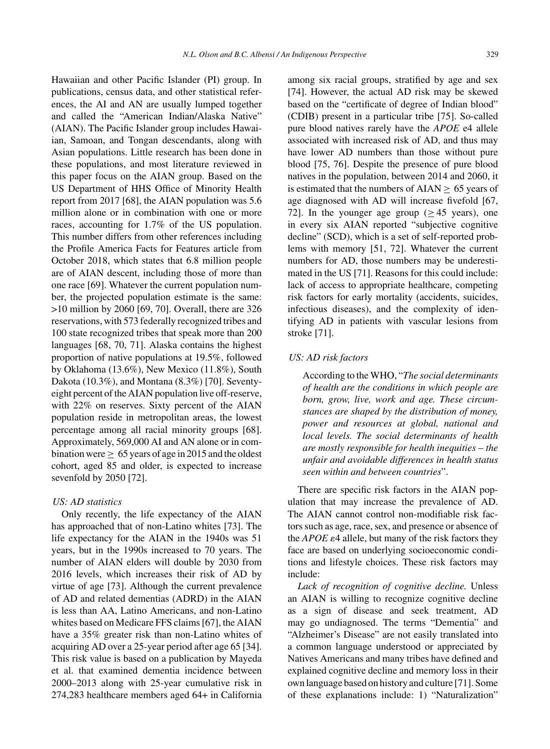Hawaiian and other Pacific Islander (PI) group. In publications, census data, and other statistical references, the AI and AN are usually lumped together and called the "American Indian/Alaska Native" (AIAN). The Pacific Islander group includes Hawaiian, Samoan, and Tongan descendants, along with Asian populations. Little research has been done in these populations, and most literature reviewed in this paper focus on the AIAN group. Based on the US Department of HHS Office of Minority Health report from 2017 [68], the AIAN population was 5.6 million alone or in combination with one or more races, accounting for 1.7% of the US population. This number differs from other references including the Profile America Facts for Features article from October 2018, which states that 6.8 million people are of AIAN descent, including those of more than one race [69]. Whatever the current population number, the projected population estimate is the same: >10 million by 2060 [69, 70]. Overall, there are 326 reservations, with 573 federally recognized tribes and 100 state recognized tribes that speak more than 200 languages [68, 70, 71]. Alaska contains the highest proportion of native populations at 19.5%, followed by Oklahoma (13.6%), New Mexico (11.8%), South Dakota (10.3%), and Montana (8.3%) [70]. Seventyeight percent of the AIAN population live off-reserve, with 22% on reserves. Sixty percent of the AIAN population reside in metropolitan areas, the lowest percentage among all racial minority groups [68]. Approximately, 569,000 AI and AN alone or in combination were  $> 65$  years of age in 2015 and the oldest cohort, aged 85 and older, is expected to increase sevenfold by 2050 [72].

#### *US: AD statistics*

Only recently, the life expectancy of the AIAN has approached that of non-Latino whites [73]. The life expectancy for the AIAN in the 1940s was 51 years, but in the 1990s increased to 70 years. The number of AIAN elders will double by 2030 from 2016 levels, which increases their risk of AD by virtue of age [73]. Although the current prevalence of AD and related dementias (ADRD) in the AIAN is less than AA, Latino Americans, and non-Latino whites based on Medicare FFS claims [67], the AIAN have a 35% greater risk than non-Latino whites of acquiring AD over a 25-year period after age 65 [34]. This risk value is based on a publication by Mayeda et al. that examined dementia incidence between 2000–2013 along with 25-year cumulative risk in 274,283 healthcare members aged 64+ in California

among six racial groups, stratified by age and sex [74]. However, the actual AD risk may be skewed based on the "certificate of degree of Indian blood" (CDIB) present in a particular tribe [75]. So-called pure blood natives rarely have the *APOE* e4 allele associated with increased risk of AD, and thus may have lower AD numbers than those without pure blood [75, 76]. Despite the presence of pure blood natives in the population, between 2014 and 2060, it is estimated that the numbers of  $AIAN \geq 65$  years of age diagnosed with AD will increase fivefold [67, 72]. In the younger age group ( $\geq$  45 years), one in every six AIAN reported "subjective cognitive decline" (SCD), which is a set of self-reported problems with memory [51, 72]. Whatever the current numbers for AD, those numbers may be underestimated in the US [71]. Reasons for this could include: lack of access to appropriate healthcare, competing risk factors for early mortality (accidents, suicides, infectious diseases), and the complexity of identifying AD in patients with vascular lesions from stroke [71].

# *US: AD risk factors*

According to the WHO, "*The social determinants of health are the conditions in which people are born, grow, live, work and age. These circumstances are shaped by the distribution of money, power and resources at global, national and local levels. The social determinants of health are mostly responsible for health inequities* – *the unfair and avoidable differences in health status seen within and between countries*".

There are specific risk factors in the AIAN population that may increase the prevalence of AD. The AIAN cannot control non-modifiable risk factors such as age, race, sex, and presence or absence of the  $APOE \varepsilon$ 4 allele, but many of the risk factors they face are based on underlying socioeconomic conditions and lifestyle choices. These risk factors may include:

*Lack of recognition of cognitive decline.* Unless an AIAN is willing to recognize cognitive decline as a sign of disease and seek treatment, AD may go undiagnosed. The terms "Dementia" and "Alzheimer's Disease" are not easily translated into a common language understood or appreciated by Natives Americans and many tribes have defined and explained cognitive decline and memory loss in their own language based on history and culture [71]. Some of these explanations include: 1) "Naturalization"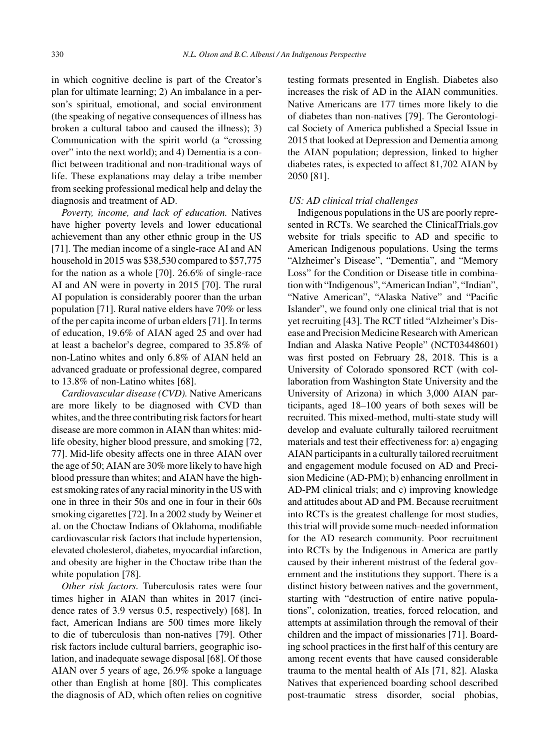in which cognitive decline is part of the Creator's plan for ultimate learning; 2) An imbalance in a person's spiritual, emotional, and social environment (the speaking of negative consequences of illness has broken a cultural taboo and caused the illness); 3) Communication with the spirit world (a "crossing over" into the next world); and 4) Dementia is a conflict between traditional and non-traditional ways of life. These explanations may delay a tribe member from seeking professional medical help and delay the diagnosis and treatment of AD.

*Poverty, income, and lack of education.* Natives have higher poverty levels and lower educational achievement than any other ethnic group in the US [71]. The median income of a single-race AI and AN household in 2015 was \$38,530 compared to \$57,775 for the nation as a whole [70]. 26.6% of single-race AI and AN were in poverty in 2015 [70]. The rural AI population is considerably poorer than the urban population [71]. Rural native elders have 70% or less of the per capita income of urban elders [71]. In terms of education, 19.6% of AIAN aged 25 and over had at least a bachelor's degree, compared to 35.8% of non-Latino whites and only 6.8% of AIAN held an advanced graduate or professional degree, compared to 13.8% of non-Latino whites [68].

*Cardiovascular disease (CVD).* Native Americans are more likely to be diagnosed with CVD than whites, and the three contributing risk factors for heart disease are more common in AIAN than whites: midlife obesity, higher blood pressure, and smoking [72, 77]. Mid-life obesity affects one in three AIAN over the age of 50; AIAN are 30% more likely to have high blood pressure than whites; and AIAN have the highest smoking rates of any racial minority in the US with one in three in their 50s and one in four in their 60s smoking cigarettes [72]. In a 2002 study by Weiner et al. on the Choctaw Indians of Oklahoma, modifiable cardiovascular risk factors that include hypertension, elevated cholesterol, diabetes, myocardial infarction, and obesity are higher in the Choctaw tribe than the white population [78].

*Other risk factors.* Tuberculosis rates were four times higher in AIAN than whites in 2017 (incidence rates of 3.9 versus 0.5, respectively) [68]. In fact, American Indians are 500 times more likely to die of tuberculosis than non-natives [79]. Other risk factors include cultural barriers, geographic isolation, and inadequate sewage disposal [68]. Of those AIAN over 5 years of age, 26.9% spoke a language other than English at home [80]. This complicates the diagnosis of AD, which often relies on cognitive

testing formats presented in English. Diabetes also increases the risk of AD in the AIAN communities. Native Americans are 177 times more likely to die of diabetes than non-natives [79]. The Gerontological Society of America published a Special Issue in 2015 that looked at Depression and Dementia among the AIAN population; depression, linked to higher diabetes rates, is expected to affect 81,702 AIAN by 2050 [81].

#### *US: AD clinical trial challenges*

Indigenous populations in the US are poorly represented in RCTs. We searched the ClinicalTrials.gov website for trials specific to AD and specific to American Indigenous populations. Using the terms "Alzheimer's Disease", "Dementia", and "Memory Loss" for the Condition or Disease title in combination with "Indigenous", "American Indian", "Indian", "Native American", "Alaska Native" and "Pacific Islander", we found only one clinical trial that is not yet recruiting [43]. The RCT titled "Alzheimer's Disease and Precision Medicine Research with American Indian and Alaska Native People" (NCT03448601) was first posted on February 28, 2018. This is a University of Colorado sponsored RCT (with collaboration from Washington State University and the University of Arizona) in which 3,000 AIAN participants, aged 18–100 years of both sexes will be recruited. This mixed-method, multi-state study will develop and evaluate culturally tailored recruitment materials and test their effectiveness for: a) engaging AIAN participants in a culturally tailored recruitment and engagement module focused on AD and Precision Medicine (AD-PM); b) enhancing enrollment in AD-PM clinical trials; and c) improving knowledge and attitudes about AD and PM. Because recruitment into RCTs is the greatest challenge for most studies, this trial will provide some much-needed information for the AD research community. Poor recruitment into RCTs by the Indigenous in America are partly caused by their inherent mistrust of the federal government and the institutions they support. There is a distinct history between natives and the government, starting with "destruction of entire native populations", colonization, treaties, forced relocation, and attempts at assimilation through the removal of their children and the impact of missionaries [71]. Boarding school practices in the first half of this century are among recent events that have caused considerable trauma to the mental health of AIs [71, 82]. Alaska Natives that experienced boarding school described post-traumatic stress disorder, social phobias,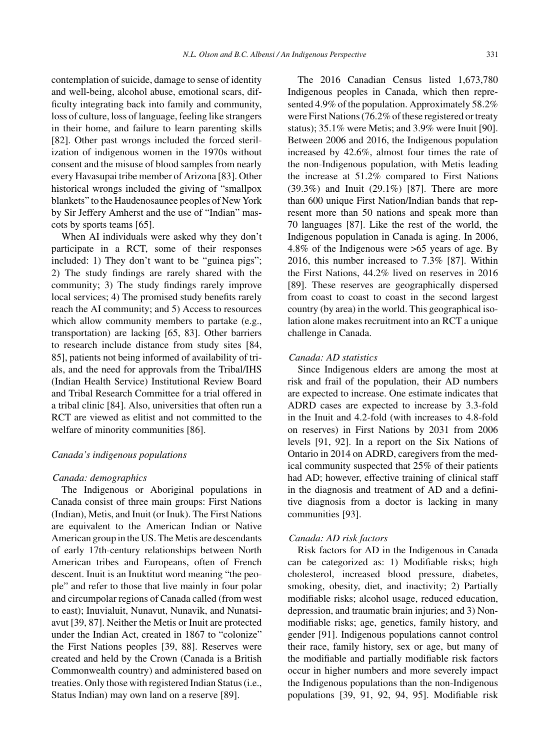contemplation of suicide, damage to sense of identity and well-being, alcohol abuse, emotional scars, difficulty integrating back into family and community, loss of culture, loss of language, feeling like strangers in their home, and failure to learn parenting skills [82]. Other past wrongs included the forced sterilization of indigenous women in the 1970s without consent and the misuse of blood samples from nearly every Havasupai tribe member of Arizona [83]. Other historical wrongs included the giving of "smallpox blankets" to the Haudenosaunee peoples of New York by Sir Jeffery Amherst and the use of "Indian" mascots by sports teams [65].

When AI individuals were asked why they don't participate in a RCT, some of their responses included: 1) They don't want to be "guinea pigs"; 2) The study findings are rarely shared with the community; 3) The study findings rarely improve local services; 4) The promised study benefits rarely reach the AI community; and 5) Access to resources which allow community members to partake (e.g., transportation) are lacking [65, 83]. Other barriers to research include distance from study sites [84, 85], patients not being informed of availability of trials, and the need for approvals from the Tribal/IHS (Indian Health Service) Institutional Review Board and Tribal Research Committee for a trial offered in a tribal clinic [84]. Also, universities that often run a RCT are viewed as elitist and not committed to the welfare of minority communities [86].

#### *Canada's indigenous populations*

#### *Canada: demographics*

The Indigenous or Aboriginal populations in Canada consist of three main groups: First Nations (Indian), Metis, and Inuit (or Inuk). The First Nations are equivalent to the American Indian or Native American group in the US. The Metis are descendants of early 17th-century relationships between North American tribes and Europeans, often of French descent. Inuit is an Inuktitut word meaning "the people" and refer to those that live mainly in four polar and circumpolar regions of Canada called (from west to east); Inuvialuit, Nunavut, Nunavik, and Nunatsiavut [39, 87]. Neither the Metis or Inuit are protected under the Indian Act, created in 1867 to "colonize" the First Nations peoples [39, 88]. Reserves were created and held by the Crown (Canada is a British Commonwealth country) and administered based on treaties. Only those with registered Indian Status (i.e., Status Indian) may own land on a reserve [89].

The 2016 Canadian Census listed 1,673,780 Indigenous peoples in Canada, which then represented 4.9% of the population. Approximately 58.2% were First Nations (76.2% of these registered or treaty status); 35.1% were Metis; and 3.9% were Inuit [90]. Between 2006 and 2016, the Indigenous population increased by 42.6%, almost four times the rate of the non-Indigenous population, with Metis leading the increase at 51.2% compared to First Nations (39.3%) and Inuit (29.1%) [87]. There are more than 600 unique First Nation/Indian bands that represent more than 50 nations and speak more than 70 languages [87]. Like the rest of the world, the Indigenous population in Canada is aging. In 2006, 4.8% of the Indigenous were >65 years of age. By 2016, this number increased to 7.3% [87]. Within the First Nations, 44.2% lived on reserves in 2016 [89]. These reserves are geographically dispersed from coast to coast to coast in the second largest country (by area) in the world. This geographical isolation alone makes recruitment into an RCT a unique challenge in Canada.

# *Canada: AD statistics*

Since Indigenous elders are among the most at risk and frail of the population, their AD numbers are expected to increase. One estimate indicates that ADRD cases are expected to increase by 3.3-fold in the Inuit and 4.2-fold (with increases to 4.8-fold on reserves) in First Nations by 2031 from 2006 levels [91, 92]. In a report on the Six Nations of Ontario in 2014 on ADRD, caregivers from the medical community suspected that 25% of their patients had AD; however, effective training of clinical staff in the diagnosis and treatment of AD and a definitive diagnosis from a doctor is lacking in many communities [93].

# *Canada: AD risk factors*

Risk factors for AD in the Indigenous in Canada can be categorized as: 1) Modifiable risks; high cholesterol, increased blood pressure, diabetes, smoking, obesity, diet, and inactivity; 2) Partially modifiable risks; alcohol usage, reduced education, depression, and traumatic brain injuries; and 3) Nonmodifiable risks; age, genetics, family history, and gender [91]. Indigenous populations cannot control their race, family history, sex or age, but many of the modifiable and partially modifiable risk factors occur in higher numbers and more severely impact the Indigenous populations than the non-Indigenous populations [39, 91, 92, 94, 95]. Modifiable risk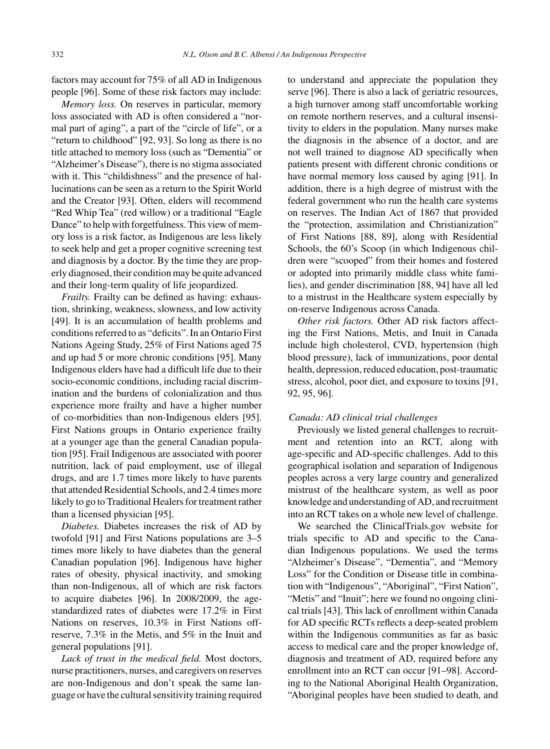factors may account for 75% of all AD in Indigenous people [96]. Some of these risk factors may include:

*Memory loss.* On reserves in particular, memory loss associated with AD is often considered a "normal part of aging", a part of the "circle of life", or a "return to childhood" [92, 93]. So long as there is no title attached to memory loss (such as "Dementia" or "Alzheimer's Disease"), there is no stigma associated with it. This "childishness" and the presence of hallucinations can be seen as a return to the Spirit World and the Creator [93]. Often, elders will recommend "Red Whip Tea" (red willow) or a traditional "Eagle Dance" to help with forgetfulness. This view of memory loss is a risk factor, as Indigenous are less likely to seek help and get a proper cognitive screening test and diagnosis by a doctor. By the time they are properly diagnosed, their condition may be quite advanced and their long-term quality of life jeopardized.

*Frailty.* Frailty can be defined as having: exhaustion, shrinking, weakness, slowness, and low activity [49]. It is an accumulation of health problems and conditions referred to as "deficits". In an Ontario First Nations Ageing Study, 25% of First Nations aged 75 and up had 5 or more chronic conditions [95]. Many Indigenous elders have had a difficult life due to their socio-economic conditions, including racial discrimination and the burdens of colonialization and thus experience more frailty and have a higher number of co-morbidities than non-Indigenous elders [95]. First Nations groups in Ontario experience frailty at a younger age than the general Canadian population [95]. Frail Indigenous are associated with poorer nutrition, lack of paid employment, use of illegal drugs, and are 1.7 times more likely to have parents that attended Residential Schools, and 2.4 times more likely to go to Traditional Healers for treatment rather than a licensed physician [95].

*Diabetes.* Diabetes increases the risk of AD by twofold [91] and First Nations populations are 3–5 times more likely to have diabetes than the general Canadian population [96]. Indigenous have higher rates of obesity, physical inactivity, and smoking than non-Indigenous, all of which are risk factors to acquire diabetes [96]. In 2008/2009, the agestandardized rates of diabetes were 17.2% in First Nations on reserves, 10.3% in First Nations offreserve, 7.3% in the Metis, and 5% in the Inuit and general populations [91].

*Lack of trust in the medical field.* Most doctors, nurse practitioners, nurses, and caregivers on reserves are non-Indigenous and don't speak the same language or have the cultural sensitivity training required to understand and appreciate the population they serve [96]. There is also a lack of geriatric resources, a high turnover among staff uncomfortable working on remote northern reserves, and a cultural insensitivity to elders in the population. Many nurses make the diagnosis in the absence of a doctor, and are not well trained to diagnose AD specifically when patients present with different chronic conditions or have normal memory loss caused by aging [91]. In addition, there is a high degree of mistrust with the federal government who run the health care systems on reserves. The Indian Act of 1867 that provided the "protection, assimilation and Christianization" of First Nations [88, 89], along with Residential Schools, the 60's Scoop (in which Indigenous children were "scooped" from their homes and fostered or adopted into primarily middle class white families), and gender discrimination [88, 94] have all led to a mistrust in the Healthcare system especially by on-reserve Indigenous across Canada.

*Other risk factors.* Other AD risk factors affecting the First Nations, Metis, and Inuit in Canada include high cholesterol, CVD, hypertension (high blood pressure), lack of immunizations, poor dental health, depression, reduced education, post-traumatic stress, alcohol, poor diet, and exposure to toxins [91, 92, 95, 96].

# *Canada: AD clinical trial challenges*

Previously we listed general challenges to recruitment and retention into an RCT, along with age-specific and AD-specific challenges. Add to this geographical isolation and separation of Indigenous peoples across a very large country and generalized mistrust of the healthcare system, as well as poor knowledge and understanding of AD, and recruitment into an RCT takes on a whole new level of challenge.

We searched the ClinicalTrials.gov website for trials specific to AD and specific to the Canadian Indigenous populations. We used the terms "Alzheimer's Disease", "Dementia", and "Memory Loss" for the Condition or Disease title in combination with "Indigenous", "Aboriginal", "First Nation", "Metis" and "Inuit"; here we found no ongoing clinical trials [43]. This lack of enrollment within Canada for AD specific RCTs reflects a deep-seated problem within the Indigenous communities as far as basic access to medical care and the proper knowledge of, diagnosis and treatment of AD, required before any enrollment into an RCT can occur [91–98]. According to the National Aboriginal Health Organization, "Aboriginal peoples have been studied to death, and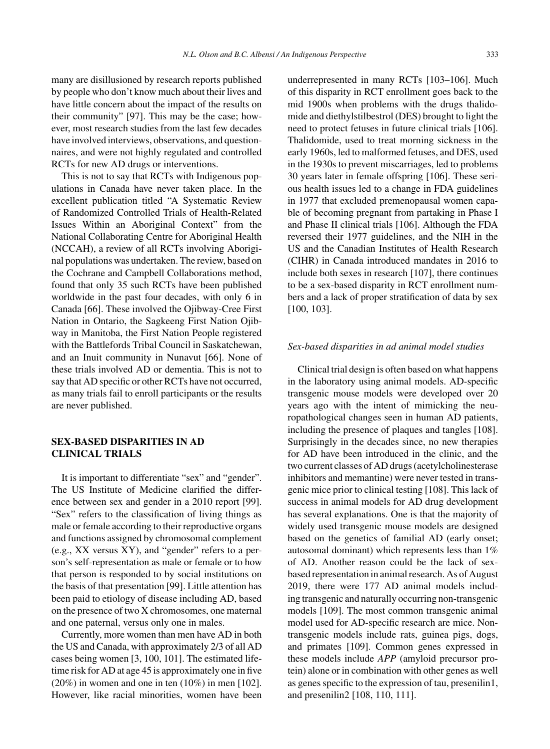many are disillusioned by research reports published by people who don't know much about their lives and have little concern about the impact of the results on their community" [97]. This may be the case; however, most research studies from the last few decades have involved interviews, observations, and questionnaires, and were not highly regulated and controlled RCTs for new AD drugs or interventions.

This is not to say that RCTs with Indigenous populations in Canada have never taken place. In the excellent publication titled "A Systematic Review of Randomized Controlled Trials of Health-Related Issues Within an Aboriginal Context" from the National Collaborating Centre for Aboriginal Health (NCCAH), a review of all RCTs involving Aboriginal populations was undertaken. The review, based on the Cochrane and Campbell Collaborations method, found that only 35 such RCTs have been published worldwide in the past four decades, with only 6 in Canada [66]. These involved the Ojibway-Cree First Nation in Ontario, the Sagkeeng First Nation Ojibway in Manitoba, the First Nation People registered with the Battlefords Tribal Council in Saskatchewan, and an Inuit community in Nunavut [66]. None of these trials involved AD or dementia. This is not to say that AD specific or other RCTs have not occurred, as many trials fail to enroll participants or the results are never published.

# **SEX-BASED DISPARITIES IN AD CLINICAL TRIALS**

It is important to differentiate "sex" and "gender". The US Institute of Medicine clarified the difference between sex and gender in a 2010 report [99]. "Sex" refers to the classification of living things as male or female according to their reproductive organs and functions assigned by chromosomal complement (e.g., XX versus XY), and "gender" refers to a person's self-representation as male or female or to how that person is responded to by social institutions on the basis of that presentation [99]. Little attention has been paid to etiology of disease including AD, based on the presence of two X chromosomes, one maternal and one paternal, versus only one in males.

Currently, more women than men have AD in both the US and Canada, with approximately 2/3 of all AD cases being women [3, 100, 101]. The estimated lifetime risk for AD at age 45 is approximately one in five (20%) in women and one in ten (10%) in men [102]. However, like racial minorities, women have been

underrepresented in many RCTs [103–106]. Much of this disparity in RCT enrollment goes back to the mid 1900s when problems with the drugs thalidomide and diethylstilbestrol (DES) brought to light the need to protect fetuses in future clinical trials [106]. Thalidomide, used to treat morning sickness in the early 1960s, led to malformed fetuses, and DES, used in the 1930s to prevent miscarriages, led to problems 30 years later in female offspring [106]. These serious health issues led to a change in FDA guidelines in 1977 that excluded premenopausal women capable of becoming pregnant from partaking in Phase I and Phase II clinical trials [106]. Although the FDA reversed their 1977 guidelines, and the NIH in the US and the Canadian Institutes of Health Research (CIHR) in Canada introduced mandates in 2016 to include both sexes in research [107], there continues to be a sex-based disparity in RCT enrollment numbers and a lack of proper stratification of data by sex [100, 103].

#### *Sex-based disparities in ad animal model studies*

Clinical trial design is often based on what happens in the laboratory using animal models. AD-specific transgenic mouse models were developed over 20 years ago with the intent of mimicking the neuropathological changes seen in human AD patients, including the presence of plaques and tangles [108]. Surprisingly in the decades since, no new therapies for AD have been introduced in the clinic, and the two current classes of AD drugs (acetylcholinesterase inhibitors and memantine) were never tested in transgenic mice prior to clinical testing [108]. This lack of success in animal models for AD drug development has several explanations. One is that the majority of widely used transgenic mouse models are designed based on the genetics of familial AD (early onset; autosomal dominant) which represents less than 1% of AD. Another reason could be the lack of sexbased representation in animal research. As of August 2019, there were 177 AD animal models including transgenic and naturally occurring non-transgenic models [109]. The most common transgenic animal model used for AD-specific research are mice. Nontransgenic models include rats, guinea pigs, dogs, and primates [109]. Common genes expressed in these models include *APP* (amyloid precursor protein) alone or in combination with other genes as well as genes specific to the expression of tau, presenilin1, and presenilin2 [108, 110, 111].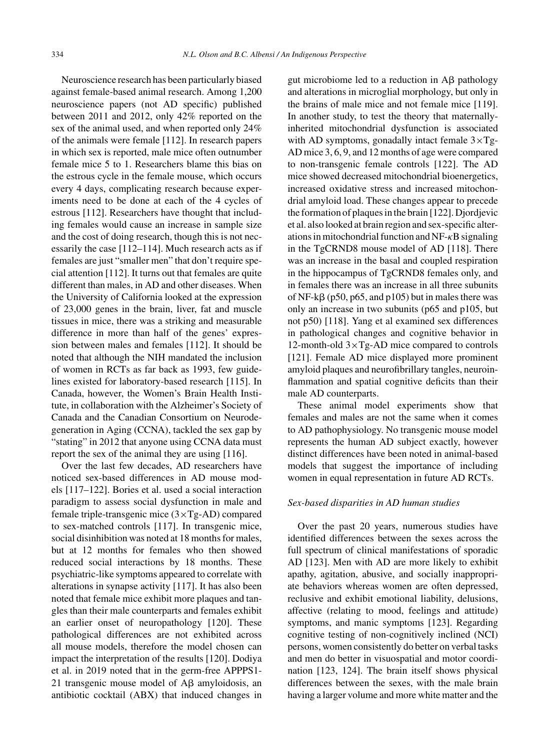Neuroscience research has been particularly biased against female-based animal research. Among 1,200 neuroscience papers (not AD specific) published between 2011 and 2012, only 42% reported on the sex of the animal used, and when reported only 24% of the animals were female [112]. In research papers in which sex is reported, male mice often outnumber female mice 5 to 1. Researchers blame this bias on the estrous cycle in the female mouse, which occurs every 4 days, complicating research because experiments need to be done at each of the 4 cycles of estrous [112]. Researchers have thought that including females would cause an increase in sample size and the cost of doing research, though this is not necessarily the case [112–114]. Much research acts as if females are just "smaller men" that don't require special attention [112]. It turns out that females are quite different than males, in AD and other diseases. When the University of California looked at the expression of 23,000 genes in the brain, liver, fat and muscle tissues in mice, there was a striking and measurable difference in more than half of the genes' expression between males and females [112]. It should be noted that although the NIH mandated the inclusion of women in RCTs as far back as 1993, few guidelines existed for laboratory-based research [115]. In Canada, however, the Women's Brain Health Institute, in collaboration with the Alzheimer's Society of Canada and the Canadian Consortium on Neurodegeneration in Aging (CCNA), tackled the sex gap by "stating" in 2012 that anyone using CCNA data must report the sex of the animal they are using [116].

Over the last few decades, AD researchers have noticed sex-based differences in AD mouse models [117–122]. Bories et al. used a social interaction paradigm to assess social dysfunction in male and female triple-transgenic mice (3×Tg-AD) compared to sex-matched controls [117]. In transgenic mice, social disinhibition was noted at 18 months for males, but at 12 months for females who then showed reduced social interactions by 18 months. These psychiatric-like symptoms appeared to correlate with alterations in synapse activity [117]. It has also been noted that female mice exhibit more plaques and tangles than their male counterparts and females exhibit an earlier onset of neuropathology [120]. These pathological differences are not exhibited across all mouse models, therefore the model chosen can impact the interpretation of the results [120]. Dodiya et al. in 2019 noted that in the germ-free APPPS1- 21 transgenic mouse model of  $A\beta$  amyloidosis, an antibiotic cocktail (ABX) that induced changes in gut microbiome led to a reduction in  $\overrightarrow{AB}$  pathology and alterations in microglial morphology, but only in the brains of male mice and not female mice [119]. In another study, to test the theory that maternallyinherited mitochondrial dysfunction is associated with AD symptoms, gonadally intact female  $3 \times Tg$ -AD mice 3, 6, 9, and 12 months of age were compared to non-transgenic female controls [122]. The AD mice showed decreased mitochondrial bioenergetics, increased oxidative stress and increased mitochondrial amyloid load. These changes appear to precede the formation of plaques in the brain [122]. Djordjevic et al. also looked at brain region and sex-specific alterations in mitochondrial function and  $NF-\kappa B$  signaling in the TgCRND8 mouse model of AD [118]. There was an increase in the basal and coupled respiration in the hippocampus of TgCRND8 females only, and in females there was an increase in all three subunits of NF-k $\beta$  (p50, p65, and p105) but in males there was only an increase in two subunits (p65 and p105, but not p50) [118]. Yang et al examined sex differences in pathological changes and cognitive behavior in 12-month-old  $3 \times Tg$ -AD mice compared to controls [121]. Female AD mice displayed more prominent amyloid plaques and neurofibrillary tangles, neuroinflammation and spatial cognitive deficits than their male AD counterparts.

These animal model experiments show that females and males are not the same when it comes to AD pathophysiology. No transgenic mouse model represents the human AD subject exactly, however distinct differences have been noted in animal-based models that suggest the importance of including women in equal representation in future AD RCTs.

#### *Sex-based disparities in AD human studies*

Over the past 20 years, numerous studies have identified differences between the sexes across the full spectrum of clinical manifestations of sporadic AD [123]. Men with AD are more likely to exhibit apathy, agitation, abusive, and socially inappropriate behaviors whereas women are often depressed, reclusive and exhibit emotional liability, delusions, affective (relating to mood, feelings and attitude) symptoms, and manic symptoms [123]. Regarding cognitive testing of non-cognitively inclined (NCI) persons, women consistently do better on verbal tasks and men do better in visuospatial and motor coordination [123, 124]. The brain itself shows physical differences between the sexes, with the male brain having a larger volume and more white matter and the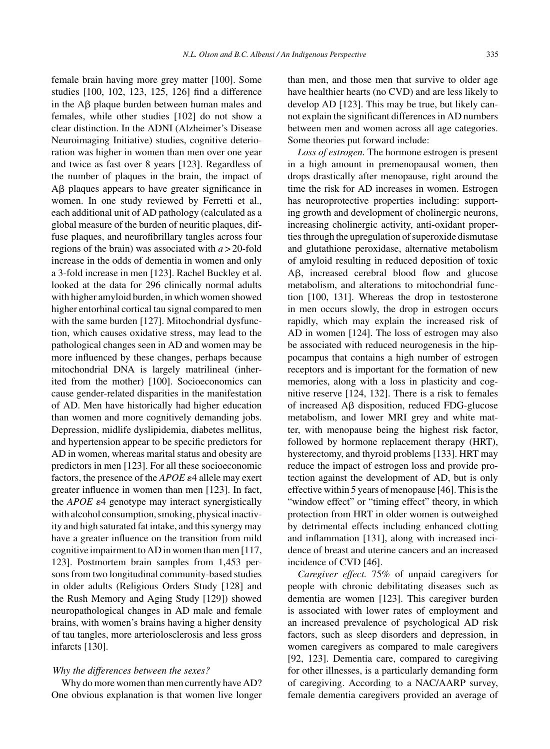female brain having more grey matter [100]. Some studies [100, 102, 123, 125, 126] find a difference in the  $\text{A}\beta$  plaque burden between human males and females, while other studies [102] do not show a clear distinction. In the ADNI (Alzheimer's Disease Neuroimaging Initiative) studies, cognitive deterioration was higher in women than men over one year and twice as fast over 8 years [123]. Regardless of the number of plaques in the brain, the impact of A $\beta$  plaques appears to have greater significance in women. In one study reviewed by Ferretti et al., each additional unit of AD pathology (calculated as a global measure of the burden of neuritic plaques, diffuse plaques, and neurofibrillary tangles across four regions of the brain) was associated with *a* > 20-fold increase in the odds of dementia in women and only a 3-fold increase in men [123]. Rachel Buckley et al. looked at the data for 296 clinically normal adults with higher amyloid burden, in which women showed higher entorhinal cortical tau signal compared to men with the same burden [127]. Mitochondrial dysfunction, which causes oxidative stress, may lead to the pathological changes seen in AD and women may be more influenced by these changes, perhaps because mitochondrial DNA is largely matrilineal (inherited from the mother) [100]. Socioeconomics can cause gender-related disparities in the manifestation of AD. Men have historically had higher education than women and more cognitively demanding jobs. Depression, midlife dyslipidemia, diabetes mellitus, and hypertension appear to be specific predictors for AD in women, whereas marital status and obesity are predictors in men [123]. For all these socioeconomic factors, the presence of the *APOE*  $\varepsilon$ 4 allele may exert greater influence in women than men [123]. In fact, the *APOE*  $\varepsilon$ 4 genotype may interact synergistically with alcohol consumption, smoking, physical inactivity and high saturated fat intake, and this synergy may have a greater influence on the transition from mild cognitive impairment to AD in women than men [117, 123]. Postmortem brain samples from 1,453 persons from two longitudinal community-based studies in older adults (Religious Orders Study [128] and the Rush Memory and Aging Study [129]) showed neuropathological changes in AD male and female brains, with women's brains having a higher density of tau tangles, more arteriolosclerosis and less gross infarcts [130].

# *Why the differences between the sexes?*

Why do more women than men currently have AD? One obvious explanation is that women live longer than men, and those men that survive to older age have healthier hearts (no CVD) and are less likely to develop AD [123]. This may be true, but likely cannot explain the significant differences in AD numbers between men and women across all age categories. Some theories put forward include:

*Loss of estrogen.* The hormone estrogen is present in a high amount in premenopausal women, then drops drastically after menopause, right around the time the risk for AD increases in women. Estrogen has neuroprotective properties including: supporting growth and development of cholinergic neurons, increasing cholinergic activity, anti-oxidant properties through the upregulation of superoxide dismutase and glutathione peroxidase, alternative metabolism of amyloid resulting in reduced deposition of toxic A $\beta$ , increased cerebral blood flow and glucose metabolism, and alterations to mitochondrial function [100, 131]. Whereas the drop in testosterone in men occurs slowly, the drop in estrogen occurs rapidly, which may explain the increased risk of AD in women [124]. The loss of estrogen may also be associated with reduced neurogenesis in the hippocampus that contains a high number of estrogen receptors and is important for the formation of new memories, along with a loss in plasticity and cognitive reserve [124, 132]. There is a risk to females of increased  $\text{A}\beta$  disposition, reduced FDG-glucose metabolism, and lower MRI grey and white matter, with menopause being the highest risk factor, followed by hormone replacement therapy (HRT), hysterectomy, and thyroid problems [133]. HRT may reduce the impact of estrogen loss and provide protection against the development of AD, but is only effective within 5 years of menopause [46]. This is the "window effect" or "timing effect" theory, in which protection from HRT in older women is outweighed by detrimental effects including enhanced clotting and inflammation [131], along with increased incidence of breast and uterine cancers and an increased incidence of CVD [46].

*Caregiver effect.* 75% of unpaid caregivers for people with chronic debilitating diseases such as dementia are women [123]. This caregiver burden is associated with lower rates of employment and an increased prevalence of psychological AD risk factors, such as sleep disorders and depression, in women caregivers as compared to male caregivers [92, 123]. Dementia care, compared to caregiving for other illnesses, is a particularly demanding form of caregiving. According to a NAC/AARP survey, female dementia caregivers provided an average of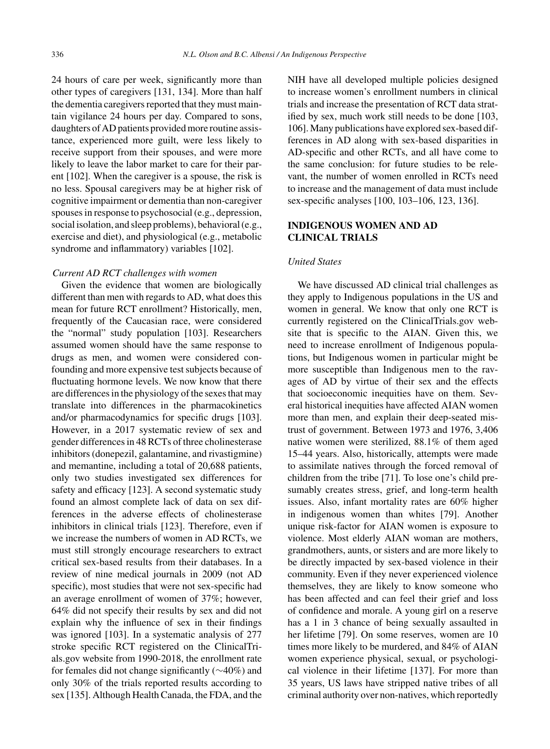24 hours of care per week, significantly more than other types of caregivers [131, 134]. More than half the dementia caregivers reported that they must maintain vigilance 24 hours per day. Compared to sons, daughters of AD patients provided more routine assistance, experienced more guilt, were less likely to receive support from their spouses, and were more likely to leave the labor market to care for their parent [102]. When the caregiver is a spouse, the risk is no less. Spousal caregivers may be at higher risk of cognitive impairment or dementia than non-caregiver spouses in response to psychosocial (e.g., depression, social isolation, and sleep problems), behavioral (e.g., exercise and diet), and physiological (e.g., metabolic syndrome and inflammatory) variables [102].

#### *Current AD RCT challenges with women*

Given the evidence that women are biologically different than men with regards to AD, what does this mean for future RCT enrollment? Historically, men, frequently of the Caucasian race, were considered the "normal" study population [103]. Researchers assumed women should have the same response to drugs as men, and women were considered confounding and more expensive test subjects because of fluctuating hormone levels. We now know that there are differences in the physiology of the sexes that may translate into differences in the pharmacokinetics and/or pharmacodynamics for specific drugs [103]. However, in a 2017 systematic review of sex and gender differences in 48 RCTs of three cholinesterase inhibitors (donepezil, galantamine, and rivastigmine) and memantine, including a total of 20,688 patients, only two studies investigated sex differences for safety and efficacy [123]. A second systematic study found an almost complete lack of data on sex differences in the adverse effects of cholinesterase inhibitors in clinical trials [123]. Therefore, even if we increase the numbers of women in AD RCTs, we must still strongly encourage researchers to extract critical sex-based results from their databases. In a review of nine medical journals in 2009 (not AD specific), most studies that were not sex-specific had an average enrollment of women of 37%; however, 64% did not specify their results by sex and did not explain why the influence of sex in their findings was ignored [103]. In a systematic analysis of 277 stroke specific RCT registered on the ClinicalTrials.gov website from 1990-2018, the enrollment rate for females did not change significantly (∼40%) and only 30% of the trials reported results according to sex [135]. Although Health Canada, the FDA, and the

NIH have all developed multiple policies designed to increase women's enrollment numbers in clinical trials and increase the presentation of RCT data stratified by sex, much work still needs to be done [103, 106]. Many publications have explored sex-based differences in AD along with sex-based disparities in AD-specific and other RCTs, and all have come to the same conclusion: for future studies to be relevant, the number of women enrolled in RCTs need to increase and the management of data must include sex-specific analyses [100, 103–106, 123, 136].

# **INDIGENOUS WOMEN AND AD CLINICAL TRIALS**

#### *United States*

We have discussed AD clinical trial challenges as they apply to Indigenous populations in the US and women in general. We know that only one RCT is currently registered on the ClinicalTrials.gov website that is specific to the AIAN. Given this, we need to increase enrollment of Indigenous populations, but Indigenous women in particular might be more susceptible than Indigenous men to the ravages of AD by virtue of their sex and the effects that socioeconomic inequities have on them. Several historical inequities have affected AIAN women more than men, and explain their deep-seated mistrust of government. Between 1973 and 1976, 3,406 native women were sterilized, 88.1% of them aged 15–44 years. Also, historically, attempts were made to assimilate natives through the forced removal of children from the tribe [71]. To lose one's child presumably creates stress, grief, and long-term health issues. Also, infant mortality rates are 60% higher in indigenous women than whites [79]. Another unique risk-factor for AIAN women is exposure to violence. Most elderly AIAN woman are mothers, grandmothers, aunts, or sisters and are more likely to be directly impacted by sex-based violence in their community. Even if they never experienced violence themselves, they are likely to know someone who has been affected and can feel their grief and loss of confidence and morale. A young girl on a reserve has a 1 in 3 chance of being sexually assaulted in her lifetime [79]. On some reserves, women are 10 times more likely to be murdered, and 84% of AIAN women experience physical, sexual, or psychological violence in their lifetime [137]. For more than 35 years, US laws have stripped native tribes of all criminal authority over non-natives, which reportedly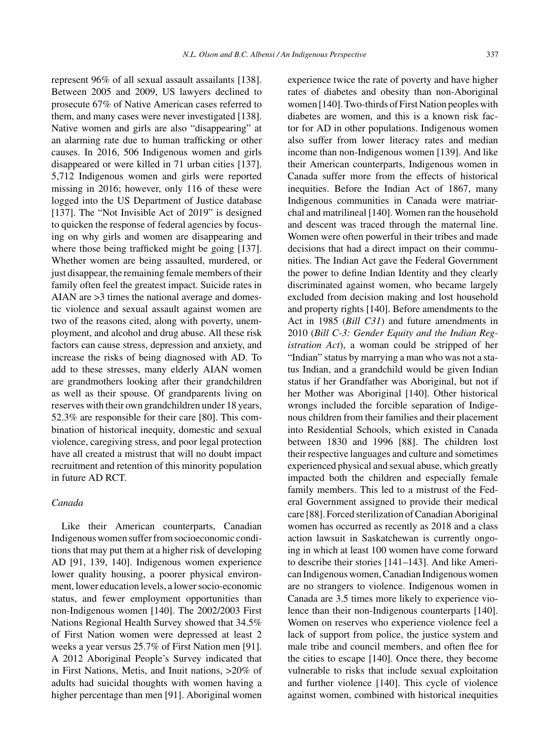represent 96% of all sexual assault assailants [138]. Between 2005 and 2009, US lawyers declined to prosecute 67% of Native American cases referred to them, and many cases were never investigated [138]. Native women and girls are also "disappearing" at an alarming rate due to human trafficking or other causes. In 2016, 506 Indigenous women and girls disappeared or were killed in 71 urban cities [137]. 5,712 Indigenous women and girls were reported missing in 2016; however, only 116 of these were logged into the US Department of Justice database [137]. The "Not Invisible Act of 2019" is designed to quicken the response of federal agencies by focusing on why girls and women are disappearing and where those being trafficked might be going [137]. Whether women are being assaulted, murdered, or just disappear, the remaining female members of their family often feel the greatest impact. Suicide rates in AIAN are >3 times the national average and domestic violence and sexual assault against women are two of the reasons cited, along with poverty, unemployment, and alcohol and drug abuse. All these risk factors can cause stress, depression and anxiety, and increase the risks of being diagnosed with AD. To add to these stresses, many elderly AIAN women are grandmothers looking after their grandchildren as well as their spouse. Of grandparents living on reserves with their own grandchildren under 18 years, 52.3% are responsible for their care [80]. This combination of historical inequity, domestic and sexual violence, caregiving stress, and poor legal protection have all created a mistrust that will no doubt impact recruitment and retention of this minority population in future AD RCT.

# *Canada*

Like their American counterparts, Canadian Indigenous women suffer from socioeconomic conditions that may put them at a higher risk of developing AD [91, 139, 140]. Indigenous women experience lower quality housing, a poorer physical environment, lower education levels, a lower socio-economic status, and fewer employment opportunities than non-Indigenous women [140]. The 2002/2003 First Nations Regional Health Survey showed that 34.5% of First Nation women were depressed at least 2 weeks a year versus 25.7% of First Nation men [91]. A 2012 Aboriginal People's Survey indicated that in First Nations, Metis, and Inuit nations, >20% of adults had suicidal thoughts with women having a higher percentage than men [91]. Aboriginal women experience twice the rate of poverty and have higher rates of diabetes and obesity than non-Aboriginal women [140]. Two-thirds of First Nation peoples with diabetes are women, and this is a known risk factor for AD in other populations. Indigenous women also suffer from lower literacy rates and median income than non-Indigenous women [139]. And like their American counterparts, Indigenous women in Canada suffer more from the effects of historical inequities. Before the Indian Act of 1867, many Indigenous communities in Canada were matriarchal and matrilineal [140]. Women ran the household and descent was traced through the maternal line. Women were often powerful in their tribes and made decisions that had a direct impact on their communities. The Indian Act gave the Federal Government the power to define Indian Identity and they clearly discriminated against women, who became largely excluded from decision making and lost household and property rights [140]. Before amendments to the Act in 1985 (*Bill C31*) and future amendments in 2010 (*Bill C-3: Gender Equity and the Indian Registration Act*), a woman could be stripped of her "Indian" status by marrying a man who was not a status Indian, and a grandchild would be given Indian status if her Grandfather was Aboriginal, but not if her Mother was Aboriginal [140]. Other historical wrongs included the forcible separation of Indigenous children from their families and their placement into Residential Schools, which existed in Canada between 1830 and 1996 [88]. The children lost their respective languages and culture and sometimes experienced physical and sexual abuse, which greatly impacted both the children and especially female family members. This led to a mistrust of the Federal Government assigned to provide their medical care [88]. Forced sterilization of Canadian Aboriginal women has occurred as recently as 2018 and a class action lawsuit in Saskatchewan is currently ongoing in which at least 100 women have come forward to describe their stories [141–143]. And like American Indigenous women, Canadian Indigenous women are no strangers to violence. Indigenous women in Canada are 3.5 times more likely to experience violence than their non-Indigenous counterparts [140]. Women on reserves who experience violence feel a lack of support from police, the justice system and male tribe and council members, and often flee for the cities to escape [140]. Once there, they become vulnerable to risks that include sexual exploitation and further violence [140]. This cycle of violence against women, combined with historical inequities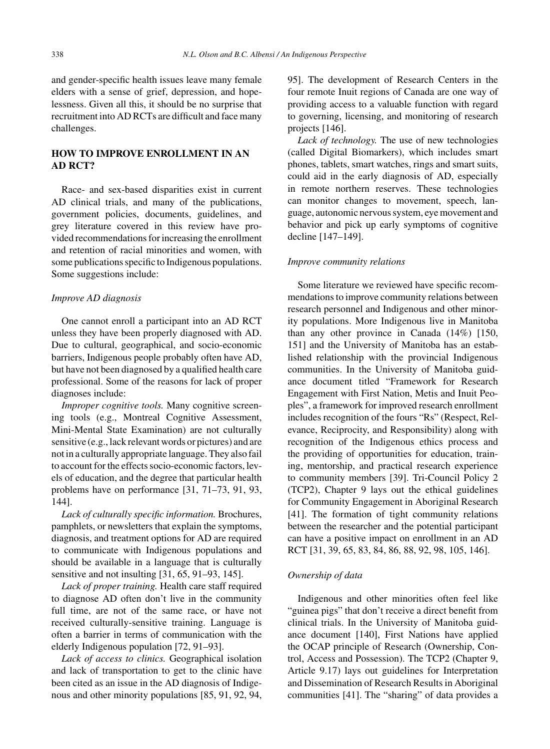and gender-specific health issues leave many female elders with a sense of grief, depression, and hopelessness. Given all this, it should be no surprise that recruitment into AD RCTs are difficult and face many challenges.

# **HOW TO IMPROVE ENROLLMENT IN AN AD RCT?**

Race- and sex-based disparities exist in current AD clinical trials, and many of the publications, government policies, documents, guidelines, and grey literature covered in this review have provided recommendations for increasing the enrollment and retention of racial minorities and women, with some publications specific to Indigenous populations. Some suggestions include:

# *Improve AD diagnosis*

One cannot enroll a participant into an AD RCT unless they have been properly diagnosed with AD. Due to cultural, geographical, and socio-economic barriers, Indigenous people probably often have AD, but have not been diagnosed by a qualified health care professional. Some of the reasons for lack of proper diagnoses include:

*Improper cognitive tools.* Many cognitive screening tools (e.g., Montreal Cognitive Assessment, Mini-Mental State Examination) are not culturally sensitive (e.g., lack relevant words or pictures) and are not in a culturally appropriate language. They also fail to account for the effects socio-economic factors, levels of education, and the degree that particular health problems have on performance [31, 71–73, 91, 93, 144].

*Lack of culturally specific information.* Brochures, pamphlets, or newsletters that explain the symptoms, diagnosis, and treatment options for AD are required to communicate with Indigenous populations and should be available in a language that is culturally sensitive and not insulting [31, 65, 91–93, 145].

*Lack of proper training.* Health care staff required to diagnose AD often don't live in the community full time, are not of the same race, or have not received culturally-sensitive training. Language is often a barrier in terms of communication with the elderly Indigenous population [72, 91–93].

*Lack of access to clinics.* Geographical isolation and lack of transportation to get to the clinic have been cited as an issue in the AD diagnosis of Indigenous and other minority populations [85, 91, 92, 94,

95]. The development of Research Centers in the four remote Inuit regions of Canada are one way of providing access to a valuable function with regard to governing, licensing, and monitoring of research projects [146].

*Lack of technology.* The use of new technologies (called Digital Biomarkers), which includes smart phones, tablets, smart watches, rings and smart suits, could aid in the early diagnosis of AD, especially in remote northern reserves. These technologies can monitor changes to movement, speech, language, autonomic nervous system, eye movement and behavior and pick up early symptoms of cognitive decline [147–149].

# *Improve community relations*

Some literature we reviewed have specific recommendations to improve community relations between research personnel and Indigenous and other minority populations. More Indigenous live in Manitoba than any other province in Canada (14%) [150, 151] and the University of Manitoba has an established relationship with the provincial Indigenous communities. In the University of Manitoba guidance document titled "Framework for Research Engagement with First Nation, Metis and Inuit Peoples", a framework for improved research enrollment includes recognition of the fours "Rs" (Respect, Relevance, Reciprocity, and Responsibility) along with recognition of the Indigenous ethics process and the providing of opportunities for education, training, mentorship, and practical research experience to community members [39]. Tri-Council Policy 2 (TCP2), Chapter 9 lays out the ethical guidelines for Community Engagement in Aboriginal Research [41]. The formation of tight community relations between the researcher and the potential participant can have a positive impact on enrollment in an AD RCT [31, 39, 65, 83, 84, 86, 88, 92, 98, 105, 146].

## *Ownership of data*

Indigenous and other minorities often feel like "guinea pigs" that don't receive a direct benefit from clinical trials. In the University of Manitoba guidance document [140], First Nations have applied the OCAP principle of Research (Ownership, Control, Access and Possession). The TCP2 (Chapter 9, Article 9.17) lays out guidelines for Interpretation and Dissemination of Research Results in Aboriginal communities [41]. The "sharing" of data provides a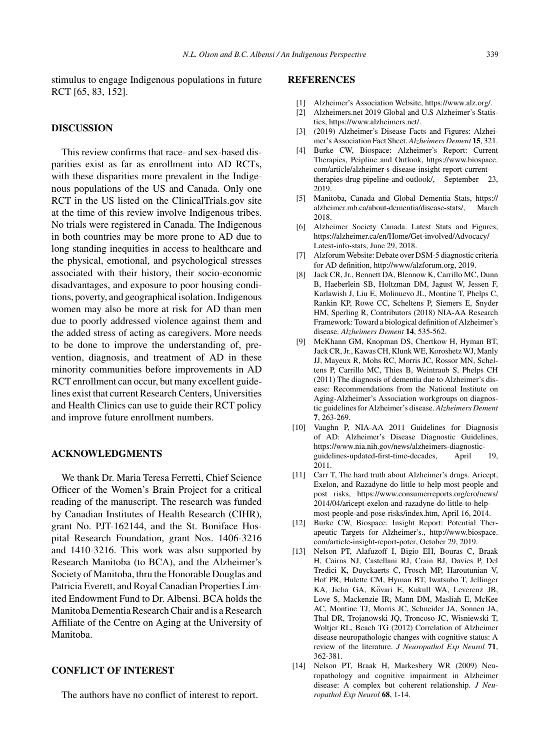stimulus to engage Indigenous populations in future RCT [65, 83, 152].

# **DISCUSSION**

This review confirms that race- and sex-based disparities exist as far as enrollment into AD RCTs, with these disparities more prevalent in the Indigenous populations of the US and Canada. Only one RCT in the US listed on the ClinicalTrials.gov site at the time of this review involve Indigenous tribes. No trials were registered in Canada. The Indigenous in both countries may be more prone to AD due to long standing inequities in access to healthcare and the physical, emotional, and psychological stresses associated with their history, their socio-economic disadvantages, and exposure to poor housing conditions, poverty, and geographical isolation. Indigenous women may also be more at risk for AD than men due to poorly addressed violence against them and the added stress of acting as caregivers. More needs to be done to improve the understanding of, prevention, diagnosis, and treatment of AD in these minority communities before improvements in AD RCT enrollment can occur, but many excellent guidelines exist that current Research Centers, Universities and Health Clinics can use to guide their RCT policy and improve future enrollment numbers.

# **ACKNOWLEDGMENTS**

We thank Dr. Maria Teresa Ferretti, Chief Science Officer of the Women's Brain Project for a critical reading of the manuscript. The research was funded by Canadian Institutes of Health Research (CIHR), grant No. PJT-162144, and the St. Boniface Hospital Research Foundation, grant Nos. 1406-3216 and 1410-3216. This work was also supported by Research Manitoba (to BCA), and the Alzheimer's Society of Manitoba, thru the Honorable Douglas and Patricia Everett, and Royal Canadian Properties Limited Endowment Fund to Dr. Albensi. BCA holds the Manitoba Dementia Research Chair and is a Research Affiliate of the Centre on Aging at the University of Manitoba.

#### **CONFLICT OF INTEREST**

The authors have no conflict of interest to report.

# **REFERENCES**

- [1] Alzheimer's Association Website, [https://www.alz.org/.](https://www.alz.org/)
- [2] Alzheimers.net 2019 Global and U.S Alzheimer's Statistics,<https://www.alzheimers.net/>.
- [3] (2019) Alzheimer's Disease Facts and Figures: Alzheimer's Association Fact Sheet. *Alzheimers Dement* **15**, 321.
- [4] Burke CW, Biospace: Alzheimer's Report: Current Therapies, Peipline and Outlook, [https://www.biospace.](https://www.biospace.com/article/alzheimer-s-disease-insight-report-current-therapies-drug-pipeline-and-outlook/) [com/article/alzheimer-s-disease-insight-report-current](https://www.biospace.com/article/alzheimer-s-disease-insight-report-current-therapies-drug-pipeline-and-outlook/)therapies-drug-pipeline-and-outlook/, September 23, 2019.
- [5] Manitoba, Canada and Global Dementia Stats, [https://](https://alzheimer.mb.ca/about-dementia/disease-stats/) [alzheimer.mb.ca/about-dementia/disease-stats/,](https://alzheimer.mb.ca/about-dementia/disease-stats/) March 2018.
- [6] Alzheimer Society Canada. Latest Stats and Figures, [https://alzheimer.ca/en/Home/Get-involved/Advocacy/](https://alzheimer.ca/en/Home/Get-involved/Advocacy/Latest-info-stats) [Latest-info-stats,](https://alzheimer.ca/en/Home/Get-involved/Advocacy/Latest-info-stats) June 29, 2018.
- [7] Alzforum Website: Debate over DSM-5 diagnostic criteria for AD definition, [http://www/alzforum.org,](http://www/alzforum.org) 2019.
- [8] Jack CR, Jr., Bennett DA, Blennow K, Carrillo MC, Dunn B, Haeberlein SB, Holtzman DM, Jagust W, Jessen F, Karlawish J, Liu E, Molinuevo JL, Montine T, Phelps C, Rankin KP, Rowe CC, Scheltens P, Siemers E, Snyder HM, Sperling R, Contributors (2018) NIA-AA Research Framework: Toward a biological definition of Alzheimer's disease. *Alzheimers Dement* **14**, 535-562.
- [9] McKhann GM, Knopman DS, Chertkow H, Hyman BT, Jack CR, Jr., Kawas CH, Klunk WE, Koroshetz WJ, Manly JJ, Mayeux R, Mohs RC, Morris JC, Rossor MN, Scheltens P, Carrillo MC, Thies B, Weintraub S, Phelps CH (2011) The diagnosis of dementia due to Alzheimer's disease: Recommendations from the National Institute on Aging-Alzheimer's Association workgroups on diagnostic guidelines for Alzheimer's disease. *Alzheimers Dement* **7**, 263-269.
- [10] Vaughn P, NIA-AA 2011 Guidelines for Diagnosis of AD: Alzheimer's Disease Diagnostic Guidelines, [https://www.nia.nih.gov/news/alzheimers-diagnostic](https://www.nia.nih.gov/news/alzheimers-diagnostic-guidelines-updated-first-time-decades)guidelines-updated-first-time-decades, April 19, 2011.
- [11] Carr T, The hard truth about Alzheimer's drugs. Aricept, Exelon, and Razadyne do little to help most people and post risks, [https://www.consumerreports.org/cro/news/](https://www.consumerreports.org/cro/news/2014/04/aricept-exelon-and-razadyne-do-little-to-help-most-people-and-pose-risks/index.htm) [2014/04/aricept-exelon-and-razadyne-do-little-to-help](https://www.consumerreports.org/cro/news/2014/04/aricept-exelon-and-razadyne-do-little-to-help-most-people-and-pose-risks/index.htm)[most-people-and-pose-risks/index.htm,](https://www.consumerreports.org/cro/news/2014/04/aricept-exelon-and-razadyne-do-little-to-help-most-people-and-pose-risks/index.htm) April 16, 2014.
- [12] Burke CW, Biospace: Insight Report: Potential Therapeutic Targets for Alzheimer's., [http://www.biospace.](http://www.biospace.com/article-insight-report-poter) [com/article-insight-report-poter,](http://www.biospace.com/article-insight-report-poter) October 29, 2019.
- [13] Nelson PT, Alafuzoff I, Bigio EH, Bouras C, Braak H, Cairns NJ, Castellani RJ, Crain BJ, Davies P, Del Tredici K, Duyckaerts C, Frosch MP, Haroutunian V, Hof PR, Hulette CM, Hyman BT, Iwatsubo T, Jellinger KA, Jicha GA, Kövari E, Kukull WA, Leverenz JB, Love S, Mackenzie IR, Mann DM, Masliah E, McKee AC, Montine TJ, Morris JC, Schneider JA, Sonnen JA, Thal DR, Trojanowski JQ, Troncoso JC, Wisniewski T, Woltjer RL, Beach TG (2012) Correlation of Alzheimer disease neuropathologic changes with cognitive status: A review of the literature. *J Neuropathol Exp Neurol* **71**, 362-381.
- [14] Nelson PT, Braak H, Markesbery WR (2009) Neuropathology and cognitive impairment in Alzheimer disease: A complex but coherent relationship. *J Neuropathol Exp Neurol* **68**, 1-14.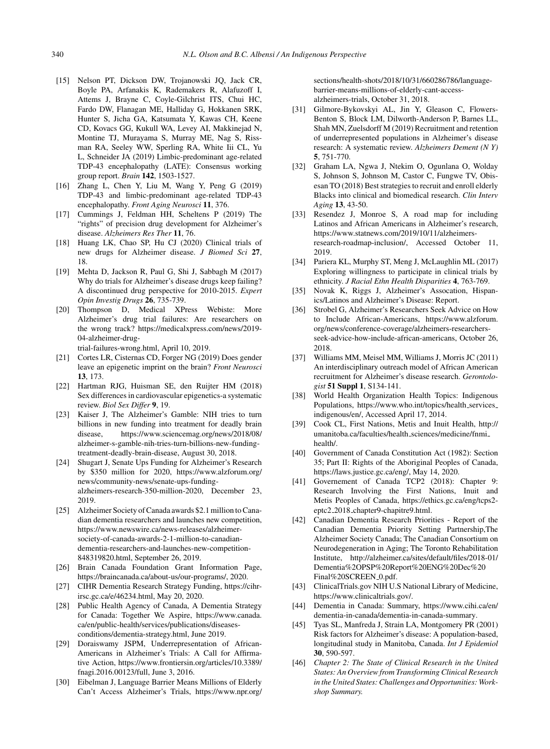- [15] Nelson PT, Dickson DW, Trojanowski JQ, Jack CR, Boyle PA, Arfanakis K, Rademakers R, Alafuzoff I, Attems J, Brayne C, Coyle-Gilchrist ITS, Chui HC, Fardo DW, Flanagan ME, Halliday G, Hokkanen SRK, Hunter S, Jicha GA, Katsumata Y, Kawas CH, Keene CD, Kovacs GG, Kukull WA, Levey AI, Makkinejad N, Montine TJ, Murayama S, Murray ME, Nag S, Rissman RA, Seeley WW, Sperling RA, White Iii CL, Yu L, Schneider JA (2019) Limbic-predominant age-related TDP-43 encephalopathy (LATE): Consensus working group report. *Brain* **142**, 1503-1527.
- [16] Zhang L, Chen Y, Liu M, Wang Y, Peng G (2019) TDP-43 and limbic-predominant age-related TDP-43 encephalopathy. *Front Aging Neurosci* **11**, 376.
- [17] Cummings J, Feldman HH, Scheltens P (2019) The "rights" of precision drug development for Alzheimer's disease. *Alzheimers Res Ther* **11**, 76.
- [18] Huang LK, Chao SP, Hu CJ (2020) Clinical trials of new drugs for Alzheimer disease. *J Biomed Sci* **27**, 18.
- [19] Mehta D, Jackson R, Paul G, Shi J, Sabbagh M (2017) Why do trials for Alzheimer's disease drugs keep failing? A discontinued drug perspective for 2010-2015. *Expert Opin Investig Drugs* **26**, 735-739.
- [20] Thompson D, Medical XPress Webiste: More Alzheimer's drug trial failures: Are researchers on the wrong track? [https://medicalxpress.com/news/2019-](https://medicalxpress.com/news/2019-04-alzheimer-drug-trial-failures-wrong.html) 04-alzheimer-drug-

[trial-failures-wrong.html,](https://medicalxpress.com/news/2019-04-alzheimer-drug-trial-failures-wrong.html) April 10, 2019.

- [21] Cortes LR, Cisternas CD, Forger NG (2019) Does gender leave an epigenetic imprint on the brain? *Front Neurosci* **13**, 173.
- [22] Hartman RJG, Huisman SE, den Ruijter HM (2018) Sex differences in cardiovascular epigenetics-a systematic review. *Biol Sex Differ* **9**, 19.
- [23] Kaiser J, The Alzheimer's Gamble: NIH tries to turn billions in new funding into treatment for deadly brain disease, [https://www.sciencemag.org/news/2018/08/](https://www.sciencemag.org/news/2018/08/alzheimer-s-gamble-nih-tries-turn-billions-new-funding-treatment-deadly-brain-disease) [alzheimer-s-gamble-nih-tries-turn-billions-new-funding](https://www.sciencemag.org/news/2018/08/alzheimer-s-gamble-nih-tries-turn-billions-new-funding-treatment-deadly-brain-disease)[treatment-deadly-brain-disease,](https://www.sciencemag.org/news/2018/08/alzheimer-s-gamble-nih-tries-turn-billions-new-funding-treatment-deadly-brain-disease) August 30, 2018.
- [24] Shugart J, Senate Ups Funding for Alzheimer's Research by \$350 million for 2020, [https://www.alzforum.org/](https://www.alzforum.org/news/community-news/senate-ups-funding-alzheimers-research-350-million-2020) [news/community-news/senate-ups-funding](https://www.alzforum.org/news/community-news/senate-ups-funding-alzheimers-research-350-million-2020)alzheimers-research-350-million-2020, December 23, 2019.
- [25] Alzheimer Society of Canada awards \$2.1 million to Canadian dementia researchers and launches new competition, [https://www.newswire.ca/news-releases/alzheimer](https://www.newswire.ca/news-releases/alzheimer-society-of-canada-awards-2-1-million-to-canadian-dementia-researchers-and-launches-new-competition-848319820.html)[society-of-canada-awards-2-1-million-to-canadian](https://www.newswire.ca/news-releases/alzheimer-society-of-canada-awards-2-1-million-to-canadian-dementia-researchers-and-launches-new-competition-848319820.html)dementia-researchers-and-launches-new-competition-848319820.html, September 26, 2019.
- [26] Brain Canada Foundation Grant Information Page, [https://braincanada.ca/about-us/our-programs/,](https://braincanada.ca/about-us/our-programs/) 2020.
- [27] CIHR Dementia Research Strategy Funding, https://cihrirsc.gc.ca/e/46234.html, May 20, 2020.
- [28] Public Health Agency of Canada, A Dementia Strategy for Canada: Together We Aspire, [https://www.canada.](https://www.canada.ca/en/public-health/services/publications/diseases-conditions/dementia-strategy.html) [ca/en/public-health/services/publications/diseases](https://www.canada.ca/en/public-health/services/publications/diseases-conditions/dementia-strategy.html)conditions/dementia-strategy.html, June 2019.
- [29] Doraiswamy JSPM, Underrepresentation of African-Americans in Alzheimer's Trials: A Call for Affirmative Action, [https://www.frontiersin.org/articles/10.3389/](https://www.frontiersin.org/articles/10.3389/fnagi.2016.00123/full) [fnagi.2016.00123/full](https://www.frontiersin.org/articles/10.3389/fnagi.2016.00123/full), June 3, 2016.
- [30] Eibelman J, Language Barrier Means Millions of Elderly Can't Access Alzheimer's Trials, [https://www.npr.org/](https://www.npr.org/sections/health-shots/2018/10/31/660286786/language-barrier-means-millions-of-elderly-cant-access-alzheimers-trials)

[sections/health-shots/2018/10/31/660286786/language](https://www.npr.org/sections/health-shots/2018/10/31/660286786/language-barrier-means-millions-of-elderly-cant-access-alzheimers-trials)barrier-means-millions-of-elderly-cant-accessalzheimers-trials, October 31, 2018.

- [31] Gilmore-Bykovskyi AL, Jin Y, Gleason C, Flowers-Benton S, Block LM, Dilworth-Anderson P, Barnes LL, Shah MN, Zuelsdorff M (2019) Recruitment and retention of underrepresented populations in Alzheimer's disease research: A systematic review. *Alzheimers Dement (N Y)* **5**, 751-770.
- [32] Graham LA, Ngwa J, Ntekim O, Ogunlana O, Wolday S, Johnson S, Johnson M, Castor C, Fungwe TV, Obisesan TO (2018) Best strategies to recruit and enroll elderly Blacks into clinical and biomedical research. *Clin Interv Aging* **13**, 43-50.
- [33] Resendez J, Monroe S, A road map for including Latinos and African Americans in Alzheimer's research, [https://www.statnews.com/2019/10/11/alzheimers](https://www.statnews.com/2019/10/11/alzheimers-research-roadmap-inclusion/)research-roadmap-inclusion/, Accessed October 11, 2019.
- [34] Pariera KL, Murphy ST, Meng J, McLaughlin ML (2017) Exploring willingness to participate in clinical trials by ethnicity. *J Racial Ethn Health Disparities* **4**, 763-769.
- [35] Novak K, Riggs J, Alzheimer's Assocation, Hispanics/Latinos and Alzheimer's Disease: Report.
- [36] Strobel G, Alzheimer's Researchers Seek Advice on How to Include African-Americans, [https://www.alzforum.](https://www.alzforum.org/news/conference-coverage/alzheimers-researchers-seek-advice-how-include-african-americans) [org/news/conference-coverage/alzheimers-researchers](https://www.alzforum.org/news/conference-coverage/alzheimers-researchers-seek-advice-how-include-african-americans)seek-advice-how-include-african-americans, October 26, 2018.
- [37] Williams MM, Meisel MM, Williams J, Morris JC (2011) An interdisciplinary outreach model of African American recruitment for Alzheimer's disease research. *Gerontologist* **51 Suppl 1**, S134-141.
- [38] World Health Organization Health Topics: Indigenous Populations, [https://www.who.int/topics/health](https://www.who.int/topics/health_services_indigenous/en/)\_services\_ [indigenous/en/,](https://www.who.int/topics/health_services_indigenous/en/) Accessed April 17, 2014.
- [39] Cook CL, First Nations, Metis and Inuit Health, [http://](http://umanitoba.ca/faculties/health_sciences/medicine/fnmi_health/) [umanitoba.ca/faculties/health](http://umanitoba.ca/faculties/health_sciences/medicine/fnmi_health/) sciences/medicine/fnmi [health/](http://umanitoba.ca/faculties/health_sciences/medicine/fnmi_health/).
- [40] Government of Canada Constitution Act (1982): Section 35; Part II: Rights of the Aboriginal Peoples of Canada, [https://laws.justice.gc.ca/eng/,](https://laws.justice.gc.ca/eng/) May 14, 2020.
- [41] Governement of Canada TCP2 (2018): Chapter 9: Research Involving the First Nations, Inuit and Metis Peoples of Canada, [https://ethics.gc.ca/eng/tcps2](https://ethics.gc.ca/eng/tcps2-eptc2_2018_chapter9-chapitre9.html) eptc2 2018 chapter9-chapitre9.html.
- [42] Canadian Dementia Research Priorities Report of the Canadian Dementia Priority Setting Partnership,The Alzheimer Society Canada; The Canadian Consortium on Neurodegeneration in Aging; The Toronto Rehabilitation Institute, [http://alzheimer.ca/sites/default/files/2018-01/](http://alzheimer.ca/sites/default/files/2018-01/Dementia%2OPSP%20Report%20ENG%20Dec%20Final%20SCREEN_0.pdf) [Dementia%2OPSP%20Report%20ENG%20Dec%20](http://alzheimer.ca/sites/default/files/2018-01/Dementia%2OPSP%20Report%20ENG%20Dec%20Final%20SCREEN_0.pdf) [Final%20SCREEN](http://alzheimer.ca/sites/default/files/2018-01/Dementia%2OPSP%20Report%20ENG%20Dec%20Final%20SCREEN_0.pdf)\_0.pdf.
- [\[43\] Clinical](https://cihr-irsc.gc.ca/e/46234.html)Trials.gov NIH U.S National Library of Medicine, <https://www.clinicaltrials.gov/>.
- [44] Dementia in Canada: Summary, [https://www.cihi.ca/en/](https://www.cihi.ca/en/dementia-in-canada/dementia-in-canada-summary) [dementia-in-canada/dementia-in-canada-summary](https://www.cihi.ca/en/dementia-in-canada/dementia-in-canada-summary).
- [45] Tyas SL, Manfreda J, Strain LA, Montgomery PR (2001) Risk factors for Alzheimer's disease: A population-based, longitudinal study in Manitoba, Canada. *Int J Epidemiol* **30**, 590-597.
- [46] *Chapter 2: The State of Clinical Research in the United States: An Overview from Transforming Clinical Research in the United States: Challenges and Opportunities: Workshop Summary.*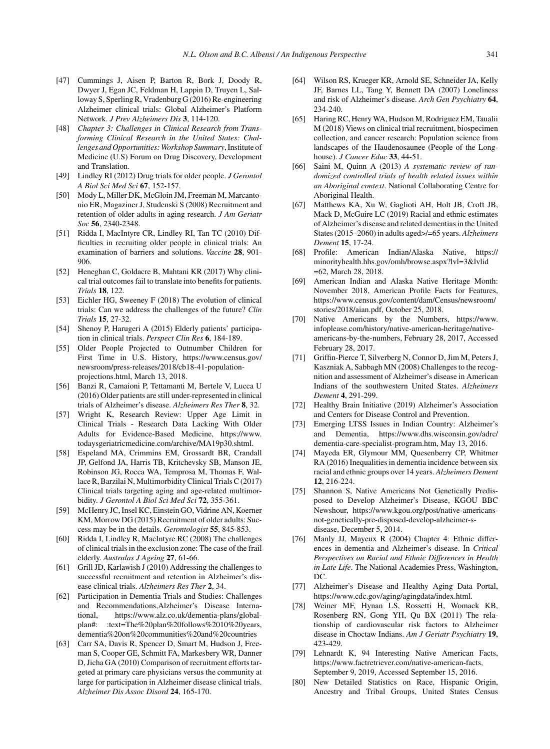- [47] Cummings J, Aisen P, Barton R, Bork J, Doody R, Dwyer J, Egan JC, Feldman H, Lappin D, Truyen L, Salloway S, Sperling R, Vradenburg G (2016) Re-engineering Alzheimer clinical trials: Global Alzheimer's Platform Network. *J Prev Alzheimers Dis* **3**, 114-120.
- [48] *Chapter 3: Challenges in Clinical Research from Transforming Clinical Research in the United States: Challenges and Opportunities: Workshop Summary*, Institute of Medicine (U.S) Forum on Drug Discovery, Development and Translation.
- [49] Lindley RI (2012) Drug trials for older people. *J Gerontol A Biol Sci Med Sci* **67**, 152-157.
- [50] Mody L, Miller DK, McGloin JM, Freeman M, Marcantonio ER, Magaziner J, Studenski S (2008) Recruitment and retention of older adults in aging research. *J Am Geriatr Soc* **56**, 2340-2348.
- [51] Ridda I, MacIntyre CR, Lindley RI, Tan TC (2010) Difficulties in recruiting older people in clinical trials: An examination of barriers and solutions. *Vaccine* **28**, 901- 906.
- [52] Heneghan C, Goldacre B, Mahtani KR (2017) Why clinical trial outcomes fail to translate into benefits for patients. *Trials* **18**, 122.
- [53] Eichler HG, Sweeney F (2018) The evolution of clinical trials: Can we address the challenges of the future? *Clin Trials* **15**, 27-32.
- [54] Shenoy P, Harugeri A (2015) Elderly patients' participation in clinical trials. *Perspect Clin Res* **6**, 184-189.
- [55] Older People Projected to Outnumber Children for First Time in U.S. History, [https://www.census.gov/](https://www.census.gov/newsroom/press-releases/2018/cb18-41-population-projections.html) [newsroom/press-releases/2018/cb18-41-population](https://www.census.gov/newsroom/press-releases/2018/cb18-41-population-projections.html)projections.html, March 13, 2018.
- [56] Banzi R, Camaioni P, Tettamanti M, Bertele V, Lucca U (2016) Older patients are still under-represented in clinical trials of Alzheimer's disease. *Alzheimers Res Ther* **8**, 32.
- [57] Wright K, Research Review: Upper Age Limit in Clinical Trials - Research Data Lacking With Older Adults for Evidence-Based Medicine, [https://www.](https://www.todaysgeriatricmedicine.com/archive/MA19p30.shtml) [todaysgeriatricmedicine.com/archive/MA19p30.shtml](https://www.todaysgeriatricmedicine.com/archive/MA19p30.shtml).
- [58] Espeland MA, Crimmins EM, Grossardt BR, Crandall JP, Gelfond JA, Harris TB, Kritchevsky SB, Manson JE, Robinson JG, Rocca WA, Temprosa M, Thomas F, Wallace R, Barzilai N, Multimorbidity Clinical Trials C (2017) Clinical trials targeting aging and age-related multimorbidity. *J Gerontol A Biol Sci Med Sci* **72**, 355-361.
- [59] McHenry JC, Insel KC, Einstein GO, Vidrine AN, Koerner KM, Morrow DG (2015) Recruitment of older adults: Success may be in the details. *Gerontologist* **55**, 845-853.
- [60] Ridda I, Lindley R, MacIntyre RC (2008) The challenges of clinical trials in the exclusion zone: The case of the frail elderly. *Australas J Ageing* **27**, 61-66.
- [61] Grill JD, Karlawish J (2010) Addressing the challenges to successful recruitment and retention in Alzheimer's disease clinical trials. *Alzheimers Res Ther* **2**, 34.
- [62] Participation in Dementia Trials and Studies: Challenges and Recommendations,Alzheimer's Disease International, https://www.alz.co.uk/dementia-plans/global-<br>plan#: :text=The%20plan%20follows%2010%20years, :text=The%20plan%20follows%2010%20years, [dementia%20on%20communities%20and%20countries](https://www.alz.co.uk/dementia-plans/global-plan#:~:text=The%20plan%20follows%2010%20years,dementia%20on%20communities%20and%20countries)
- [63] Carr SA, Davis R, Spencer D, Smart M, Hudson J, Freeman S, Cooper GE, Schmitt FA, Markesbery WR, Danner D, Jicha GA (2010) Comparison of recruitment efforts targeted at primary care physicians versus the community at large for participation in Alzheimer disease clinical trials. *Alzheimer Dis Assoc Disord* **24**, 165-170.
- [64] Wilson RS, Krueger KR, Arnold SE, Schneider JA, Kelly JF, Barnes LL, Tang Y, Bennett DA (2007) Loneliness and risk of Alzheimer's disease. *Arch Gen Psychiatry* **64**, 234-240.
- [65] Haring RC, Henry WA, Hudson M, Rodriguez EM, Taualii M (2018) Views on clinical trial recruitment, biospecimen collection, and cancer research: Population science from landscapes of the Haudenosaunee (People of the Longhouse). *J Cancer Educ* **33**, 44-51.
- [66] Saini M, Quinn A (2013) *A systematic review of randomized controlled trials of health related issues within an Aboriginal context*. National Collaborating Centre for Aboriginal Health.
- [67] Matthews KA, Xu W, Gaglioti AH, Holt JB, Croft JB, Mack D, McGuire LC (2019) Racial and ethnic estimates of Alzheimer's disease and related dementias in the United States (2015–2060) in adults aged>/=65 years. *Alzheimers Dement* **15**, 17-24.
- [68] Profile: American Indian/Alaska Native, [https://](https://minorityhealth.hhs.gov/omh/browse.aspx?lvl=3&lvlid=62) [minorityhealth.hhs.gov/omh/browse.aspx?lvl=3&lvlid](https://minorityhealth.hhs.gov/omh/browse.aspx?lvl=3&lvlid=62) [=62](https://minorityhealth.hhs.gov/omh/browse.aspx?lvl=3&lvlid=62), March 28, 2018.
- [69] American Indian and Alaska Native Heritage Month: November 2018, American Profile Facts for Features, [https://www.census.gov/content/dam/Census/newsroom/](https://www.census.gov/content/dam/Census/newsroom/stories/2018/aian.pdf) [stories/2018/aian.pdf,](https://www.census.gov/content/dam/Census/newsroom/stories/2018/aian.pdf) October 25, 2018.
- [70] Native Americans by the Numbers, [https://www.](https://www.infoplease.com/history/native-american-heritage/native-americans-by-the-numbers) [infoplease.com/history/native-american-heritage/native](https://www.infoplease.com/history/native-american-heritage/native-americans-by-the-numbers)americans-by-the-numbers, February 28, 2017, Accessed February 28, 2017.
- [71] Griffin-Pierce T, Silverberg N, Connor D, Jim M, Peters J, Kaszniak A, Sabbagh MN (2008) Challenges to the recognition and assessment of Alzheimer's disease in American Indians of the southwestern United States. *Alzheimers Dement* **4**, 291-299.
- [72] Healthy Brain Initiative (2019) Alzheimer's Association and Centers for Disease Control and Prevention.
- [73] Emerging LTSS Issues in Indian Country: Alzheimer's and Dementia, [https://www.dhs.wisconsin.gov/adrc/](https://www.dhs.wisconsin.gov/adrc/dementia-care-specialist-program.htm) [dementia-care-specialist-program.htm](https://www.dhs.wisconsin.gov/adrc/dementia-care-specialist-program.htm), May 13, 2016.
- [74] Mayeda ER, Glymour MM, Quesenberry CP, Whitmer RA (2016) Inequalities in dementia incidence between six racial and ethnic groups over 14 years. *Alzheimers Dement* **12**, 216-224.
- [75] Shannon S, Native Americans Not Genetically Predisposed to Develop Alzheimer's Disease, KGOU BBC Newshour, [https://www.kgou.org/post/native-americans](https://www.kgou.org/post/native-americans-not-genetically-pre-disposed-develop-alzheimer-s-disease)[not-genetically-pre-disposed-develop-alzheimer-s](https://www.kgou.org/post/native-americans-not-genetically-pre-disposed-develop-alzheimer-s-disease)disease, December 5, 2014.
- [76] Manly JJ, Mayeux R (2004) Chapter 4: Ethnic differences in dementia and Alzheimer's disease. In *Critical Perspectives on Racial and Ethnic Differences in Health in Late Life*. The National Academies Press, Washington, DC.
- [77] Alzheimer's Disease and Healthy Aging Data Portal, <https://www.cdc.gov/aging/agingdata/index.html>.
- [78] Weiner MF, Hynan LS, Rossetti H, Womack KB, Rosenberg RN, Gong YH, Qu BX (2011) The relationship of cardiovascular risk factors to Alzheimer disease in Choctaw Indians. *Am J Geriatr Psychiatry* **19**, 423-429.
- [79] Lehnardt K, 94 Interesting Native American Facts, <https://www.factretriever.com/native-american-facts>, September 9, 2019, Accessed September 15, 2016.
- [80] New Detailed Statistics on Race, Hispanic Origin, Ancestry and Tribal Groups, United States Census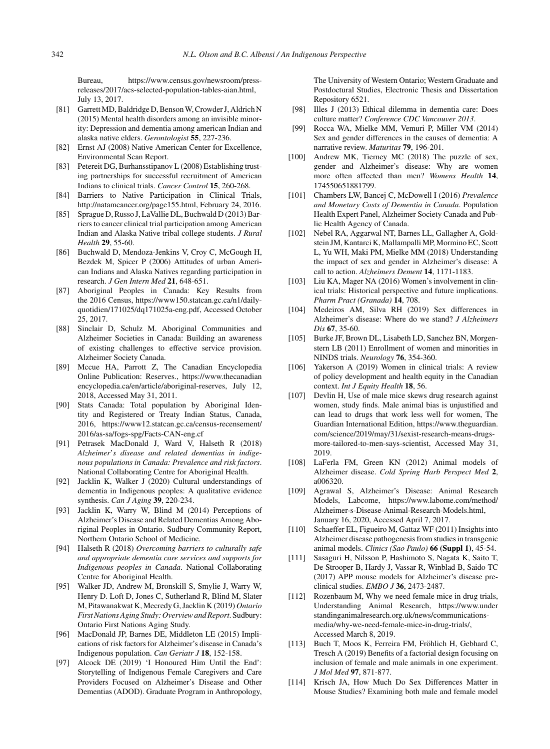Bureau, [https://www.census.gov/newsroom/press](https://www.census.gov/newsroom/press-releases/2017/acs-selected-population-tables-aian.html)releases/2017/acs-selected-population-tables-aian.html, July 13, 2017.

- [81] Garrett MD, Baldridge D, Benson W, Crowder J, Aldrich N (2015) Mental health disorders among an invisible minority: Depression and dementia among american Indian and alaska native elders. *Gerontologist* **55**, 227-236.
- [82] Ernst AJ (2008) Native American Center for Excellence, Environmental Scan Report.
- [83] Petereit DG, Burhansstipanov L (2008) Establishing trusting partnerships for successful recruitment of American Indians to clinical trials. *Cancer Control* **15**, 260-268.
- [84] Barriers to Native Participation in Clinical Trials, <http://natamcancer.org/page155.html>, February 24, 2016.
- [85] Sprague D, Russo J, LaVallie DL, Buchwald D (2013) Barriers to cancer clinical trial participation among American Indian and Alaska Native tribal college students. *J Rural Health* **29**, 55-60.
- [86] Buchwald D, Mendoza-Jenkins V, Croy C, McGough H, Bezdek M, Spicer P (2006) Attitudes of urban American Indians and Alaska Natives regarding participation in research. *J Gen Intern Med* **21**, 648-651.
- [87] Aboriginal Peoples in Canada: Key Results from the 2016 Census, [https://www150.statcan.gc.ca/n1/daily](https://www150.statcan.gc.ca/n1/daily-quotidien/171025/dq171025a-eng.pdf)quotidien/171025/dq171025a-eng.pdf, Accessed October 25, 2017.
- [88] Sinclair D, Schulz M. Aboriginal Communities and Alzheimer Societies in Canada: Building an awareness of existing challenges to effective service provision. Alzheimer Society Canada.
- [89] Mccue HA, Parrott Z, The Canadian Encyclopedia Online Publication: Reserves., [https://www.thecanadian](https://www.thecanadianencyclopedia.ca/en/article/aboriginal-reserves) [encyclopedia.ca/en/article/aboriginal-reserves,](https://www.thecanadianencyclopedia.ca/en/article/aboriginal-reserves) July 12, 2018, Accessed May 31, 2011.
- [90] Stats Canada: Total population by Aboriginal Identity and Registered or Treaty Indian Status, Canada, 2016, [https://www12.statcan.gc.ca/census-recensement/](https://www12.statcan.gc.ca/census-recensement/2016/as-sa/fogs-spg/Facts-CAN-eng.cf) [2016/as-sa/fogs-spg/Facts-CAN-eng.cf](https://www12.statcan.gc.ca/census-recensement/2016/as-sa/fogs-spg/Facts-CAN-eng.cf)
- [91] Petrasek MacDonald J, Ward V, Halseth R (2018) *Alzheimer*'*s disease and related dementias in indigenous populations in Canada: Prevalence and risk factors*. National Collaborating Centre for Aboriginal Health.
- [92] Jacklin K, Walker J (2020) Cultural understandings of dementia in Indigenous peoples: A qualitative evidence synthesis. *Can J Aging* **39**, 220-234.
- [93] Jacklin K, Warry W, Blind M (2014) Perceptions of Alzheimer's Disease and Related Dementias Among Aboriginal Peoples in Ontario. Sudbury Community Report, Northern Ontario School of Medicine.
- [94] Halseth R (2018) *Overcoming barriers to culturally safe and appropriate dementia care services and supports for Indigenous peoples in Canada*. National Collaborating Centre for Aboriginal Health.
- [95] Walker JD, Andrew M, Bronskill S, Smylie J, Warry W, Henry D. Loft D, Jones C, Sutherland R, Blind M, Slater M, Pitawanakwat K, Mecredy G, Jacklin K (2019) *Ontario First Nations Aging Study: Overview and Report*. Sudbury: Ontario First Nations Aging Study.
- [96] MacDonald JP, Barnes DE, Middleton LE (2015) Implications of risk factors for Alzheimer's disease in Canada's Indigenous population. *Can Geriatr J* **18**, 152-158.
- [97] Alcock DE (2019) 'I Honoured Him Until the End': Storytelling of Indigenous Female Caregivers and Care Providers Focused on Alzheimer's Disease and Other Dementias (ADOD). Graduate Program in Anthropology,

The University of Western Ontario; Western Graduate and Postdoctural Studies, Electronic Thesis and Dissertation Repository 6521.

- [98] Illes J (2013) Ethical dilemma in dementia care: Does culture matter? *Conference CDC Vancouver 2013*.
- [99] Rocca WA, Mielke MM, Vemuri P, Miller VM (2014) Sex and gender differences in the causes of dementia: A narrative review. *Maturitas* **79**, 196-201.
- [100] Andrew MK, Tierney MC (2018) The puzzle of sex, gender and Alzheimer's disease: Why are women more often affected than men? *Womens Health* **14**, 174550651881799.
- [101] Chambers LW, Bancej C, McDowell I (2016) *Prevalence and Monetary Costs of Dementia in Canada*. Population Health Expert Panel, Alzheimer Society Canada and Public Health Agency of Canada.
- [102] Nebel RA, Aggarwal NT, Barnes LL, Gallagher A, Goldstein JM, Kantarci K, Mallampalli MP, Mormino EC, Scott L, Yu WH, Maki PM, Mielke MM (2018) Understanding the impact of sex and gender in Alzheimer's disease: A call to action. *Alzheimers Dement* **14**, 1171-1183.
- [103] Liu KA, Mager NA (2016) Women's involvement in clinical trials: Historical perspective and future implications. *Pharm Pract (Granada)* **14**, 708.
- [104] Medeiros AM, Silva RH (2019) Sex differences in Alzheimer's disease: Where do we stand? *J Alzheimers Dis* **67**, 35-60.
- [105] Burke JF, Brown DL, Lisabeth LD, Sanchez BN, Morgenstern LB (2011) Enrollment of women and minorities in NINDS trials. *Neurology* **76**, 354-360.
- [106] Yakerson A (2019) Women in clinical trials: A review of policy development and health equity in the Canadian context. *Int J Equity Health* **18**, 56.
- [107] Devlin H, Use of male mice skews drug research against women, study finds. Male animal bias is unjustified and can lead to drugs that work less well for women, The Guardian International Edition, [https://www.theguardian.](https://www.theguardian.com/science/2019/may/31/sexist-research-means-drugs-more-tailored-to-men-says-scientist) [com/science/2019/may/31/sexist-research-means-drugs](https://www.theguardian.com/science/2019/may/31/sexist-research-means-drugs-more-tailored-to-men-says-scientist)more-tailored-to-men-says-scientist, Accessed May 31, 2019.
- [108] LaFerla FM, Green KN (2012) Animal models of Alzheimer disease. *Cold Spring Harb Perspect Med* **2**, a006320.
- [109] Agrawal S, Alzheimer's Disease: Animal Research Models, Labcome, [https://www.labome.com/method/](https://www.labome.com/method/Alzheimer-s-Disease-Animal-Research-Models.html) [Alzheimer-s-Disease-Animal-Research-Models.html](https://www.labome.com/method/Alzheimer-s-Disease-Animal-Research-Models.html), January 16, 2020, Accessed April 7, 2017.
- [110] Schaeffer EL, Figueiro M, Gattaz WF (2011) Insights into Alzheimer disease pathogenesis from studies in transgenic animal models. *Clinics (Sao Paulo)* **66 (Suppl 1)**, 45-54.
- [111] Sasaguri H, Nilsson P, Hashimoto S, Nagata K, Saito T, De Strooper B, Hardy J, Vassar R, Winblad B, Saido TC (2017) APP mouse models for Alzheimer's disease preclinical studies. *EMBO J* **36**, 2473-2487.
- [112] Rozenbaum M, Why we need female mice in drug trials, Understanding Animal Research, [https://www.under](https://www.understandinganimalresearch.org.uk/news/communications-media/why-we-need-female-mice-in-drug-trials/) [standinganimalresearch.org.uk/news/communications](https://www.understandinganimalresearch.org.uk/news/communications-media/why-we-need-female-mice-in-drug-trials/)media/why-we-need-female-mice-in-drug-trials/, Accessed March 8, 2019.
- [113] Buch T, Moos K, Ferreira FM, Fröhlich H, Gebhard C, Tresch A (2019) Benefits of a factorial design focusing on inclusion of female and male animals in one experiment. *J Mol Med* **97**, 871-877.
- [114] Krisch JA, How Much Do Sex Differences Matter in Mouse Studies? Examining both male and female model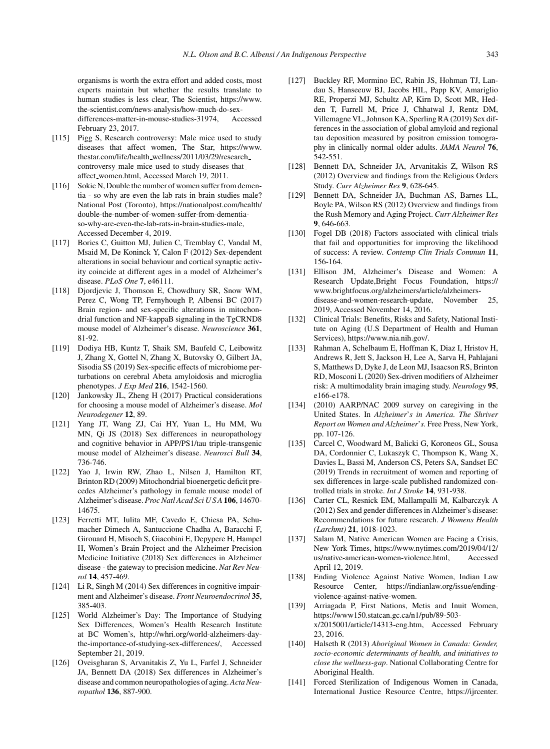organisms is worth the extra effort and added costs, most experts maintain but whether the results translate to human studies is less clear, The Scientist, [https://www.](https://www.the-scientist.com/news-analysis/how-much-do-sex-differences-matter-in-mouse-studies-31974) [the-scientist.com/news-analysis/how-much-do-sex](https://www.the-scientist.com/news-analysis/how-much-do-sex-differences-matter-in-mouse-studies-31974)differences-matter-in-mouse-studies-31974, Accessed February 23, 2017.

- [115] Pigg S, Research controversy: Male mice used to study diseases that affect women, The Star, [https://www.](https://www.thestar.com/life/health_wellness/2011/03/29/research_controversy_male_mice_used_to_study_diseases_that_affect_women.html) thestar.com/life/health [wellness/2011/03/29/research](https://www.thestar.com/life/health_wellness/2011/03/29/research_controversy_male_mice_used_to_study_diseases_that_affect_women.html) [controversy](https://www.thestar.com/life/health_wellness/2011/03/29/research_controversy_male_mice_used_to_study_diseases_that_affect_women.html) male mice used to study diseases that affect women.html, Accessed March 19, 2011.
- [116] Sokic N, Double the number of women suffer from dementia - so why are even the lab rats in brain studies male? National Post (Toronto), [https://nationalpost.com/health/](https://nationalpost.com/health/double-the-number-of-women-suffer-from-dementia-so-why-are-even-the-lab-rats-in-brain-studies-male) [double-the-number-of-women-suffer-from-dementia](https://nationalpost.com/health/double-the-number-of-women-suffer-from-dementia-so-why-are-even-the-lab-rats-in-brain-studies-male)so-why-are-even-the-lab-rats-in-brain-studies-male, Accessed December 4, 2019.
- [117] Bories C, Guitton MJ, Julien C, Tremblay C, Vandal M, Msaid M, De Koninck Y, Calon F (2012) Sex-dependent alterations in social behaviour and cortical synaptic activity coincide at different ages in a model of Alzheimer's disease. *PLoS One* **7**, e46111.
- [118] Djordjevic J, Thomson E, Chowdhury SR, Snow WM, Perez C, Wong TP, Fernyhough P, Albensi BC (2017) Brain region- and sex-specific alterations in mitochondrial function and NF-kappaB signaling in the TgCRND8 mouse model of Alzheimer's disease. *Neuroscience* **361**, 81-92.
- [119] Dodiya HB, Kuntz T, Shaik SM, Baufeld C, Leibowitz J, Zhang X, Gottel N, Zhang X, Butovsky O, Gilbert JA, Sisodia SS (2019) Sex-specific effects of microbiome perturbations on cerebral Abeta amyloidosis and microglia phenotypes. *J Exp Med* **216**, 1542-1560.
- [120] Jankowsky JL, Zheng H (2017) Practical considerations for choosing a mouse model of Alzheimer's disease. *Mol Neurodegener* **12**, 89.
- [121] Yang JT, Wang ZJ, Cai HY, Yuan L, Hu MM, Wu MN, Qi JS (2018) Sex differences in neuropathology and cognitive behavior in APP/PS1/tau triple-transgenic mouse model of Alzheimer's disease. *Neurosci Bull* **34**, 736-746.
- [122] Yao J, Irwin RW, Zhao L, Nilsen J, Hamilton RT, Brinton RD (2009) Mitochondrial bioenergetic deficit precedes Alzheimer's pathology in female mouse model of Alzheimer's disease. *Proc Natl Acad Sci U S A* **106**, 14670- 14675.
- [123] Ferretti MT, Iulita MF, Cavedo E, Chiesa PA, Schumacher Dimech A, Santuccione Chadha A, Baracchi F, Girouard H, Misoch S, Giacobini E, Depypere H, Hampel H, Women's Brain Project and the Alzheimer Precision Medicine Initiative (2018) Sex differences in Alzheimer disease - the gateway to precision medicine. *Nat Rev Neurol* **14**, 457-469.
- [124] Li R, Singh M (2014) Sex differences in cognitive impairment and Alzheimer's disease. *Front Neuroendocrinol* **35**, 385-403.
- [125] World Alzheimer's Day: The Importance of Studying Sex Differences, Women's Health Research Institute at BC Women's, [http://whri.org/world-alzheimers-day](http://whri.org/world-alzheimers-day-the-importance-of-studying-sex-differences/)the-importance-of-studying-sex-differences/, Accessed September 21, 2019.
- [126] Oveisgharan S, Arvanitakis Z, Yu L, Farfel J, Schneider JA, Bennett DA (2018) Sex differences in Alzheimer's disease and common neuropathologies of aging. *Acta Neuropathol* **136**, 887-900.
- [127] Buckley RF, Mormino EC, Rabin JS, Hohman TJ, Landau S, Hanseeuw BJ, Jacobs HIL, Papp KV, Amariglio RE, Properzi MJ, Schultz AP, Kirn D, Scott MR, Hedden T, Farrell M, Price J, Chhatwal J, Rentz DM, Villemagne VL, Johnson KA, Sperling RA (2019) Sex differences in the association of global amyloid and regional tau deposition measured by positron emission tomography in clinically normal older adults. *JAMA Neurol* **76**, 542-551.
- [128] Bennett DA, Schneider JA, Arvanitakis Z, Wilson RS (2012) Overview and findings from the Religious Orders Study. *Curr Alzheimer Res* **9**, 628-645.
- [129] Bennett DA, Schneider JA, Buchman AS, Barnes LL, Boyle PA, Wilson RS (2012) Overview and findings from the Rush Memory and Aging Project. *Curr Alzheimer Res* **9**, 646-663.
- [130] Fogel DB (2018) Factors associated with clinical trials that fail and opportunities for improving the likelihood of success: A review. *Contemp Clin Trials Commun* **11**, 156-164.
- [131] Ellison JM, Alzheimer's Disease and Women: A Research Update,Bright Focus Foundation, [https://](https://www.brightfocus.org/alzheimers/article/alzheimers-disease-and-women-research-update) [www.brightfocus.org/alzheimers/article/alzheimers](https://www.brightfocus.org/alzheimers/article/alzheimers-disease-and-women-research-update)disease-and-women-research-update, November 25, 2019, Accessed November 14, 2016.
- [132] Clinical Trials: Benefits, Risks and Safety, National Institute on Aging (U.S Department of Health and Human Services),<https://www.nia.nih.gov/>.
- [133] Rahman A, Schelbaum E, Hoffman K, Diaz I, Hristov H, Andrews R, Jett S, Jackson H, Lee A, Sarva H, Pahlajani S, Matthews D, Dyke J, de Leon MJ, Isaacson RS, Brinton RD, Mosconi L (2020) Sex-driven modifiers of Alzheimer risk: A multimodality brain imaging study. *Neurology* **95**, e166-e178.
- [134] (2010) AARP/NAC 2009 survey on caregiving in the United States. In *Alzheimer*'*s in America. The Shriver Report on Women and Alzheimer*'*s.* Free Press, New York, pp. 107-126.
- [135] Carcel C, Woodward M, Balicki G, Koroneos GL, Sousa DA, Cordonnier C, Lukaszyk C, Thompson K, Wang X, Davies L, Bassi M, Anderson CS, Peters SA, Sandset EC (2019) Trends in recruitment of women and reporting of sex differences in large-scale published randomized controlled trials in stroke. *Int J Stroke* **14**, 931-938.
- [136] Carter CL, Resnick EM, Mallampalli M, Kalbarczyk A (2012) Sex and gender differences in Alzheimer's disease: Recommendations for future research. *J Womens Health (Larchmt)* **21**, 1018-1023.
- [137] Salam M, Native American Women are Facing a Crisis, New York Times, [https://www.nytimes.com/2019/04/12/](https://www.nytimes.com/2019/04/12/us/native-american-women-violence.html) [us/native-american-women-violence.html](https://www.nytimes.com/2019/04/12/us/native-american-women-violence.html), Accessed April 12, 2019.
- [138] Ending Violence Against Native Women, Indian Law Resource Center, [https://indianlaw.org/issue/ending](https://indianlaw.org/issue/ending-violence-against-native-women)violence-against-native-women.
- [139] Arriagada P, First Nations, Metis and Inuit Women, [https://www150.statcan.gc.ca/n1/pub/89-503](https://www150.statcan.gc.ca/n1/pub/89-503-x/2015001/article/14313-eng.htm) x/2015001/article/14313-eng.htm, Accessed February 23, 2016.
- [140] Halseth R (2013) *Aboriginal Women in Canada: Gender, socio-economic determinants of health, and initiatives to close the wellness-gap*. National Collaborating Centre for Aboriginal Health.
- [141] Forced Sterilization of Indigenous Women in Canada, International Justice Resource Centre, [https://ijrcenter.](https://ijrcenter.org/forced-sterilization-of-indigenous-women-in-canada/)